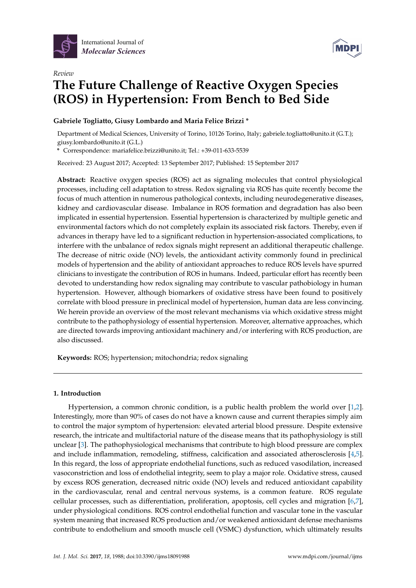

*Review*



# **The Future Challenge of Reactive Oxygen Species (ROS) in Hypertension: From Bench to Bed Side**

**Gabriele Togliatto, Giusy Lombardo and Maria Felice Brizzi \***

Department of Medical Sciences, University of Torino, 10126 Torino, Italy; gabriele.togliatto@unito.it (G.T.); giusy.lombardo@unito.it (G.L.)

**\*** Correspondence: mariafelice.brizzi@unito.it; Tel.: +39-011-633-5539

Received: 23 August 2017; Accepted: 13 September 2017; Published: 15 September 2017

**Abstract:** Reactive oxygen species (ROS) act as signaling molecules that control physiological processes, including cell adaptation to stress. Redox signaling via ROS has quite recently become the focus of much attention in numerous pathological contexts, including neurodegenerative diseases, kidney and cardiovascular disease. Imbalance in ROS formation and degradation has also been implicated in essential hypertension. Essential hypertension is characterized by multiple genetic and environmental factors which do not completely explain its associated risk factors. Thereby, even if advances in therapy have led to a significant reduction in hypertension-associated complications, to interfere with the unbalance of redox signals might represent an additional therapeutic challenge. The decrease of nitric oxide (NO) levels, the antioxidant activity commonly found in preclinical models of hypertension and the ability of antioxidant approaches to reduce ROS levels have spurred clinicians to investigate the contribution of ROS in humans. Indeed, particular effort has recently been devoted to understanding how redox signaling may contribute to vascular pathobiology in human hypertension. However, although biomarkers of oxidative stress have been found to positively correlate with blood pressure in preclinical model of hypertension, human data are less convincing. We herein provide an overview of the most relevant mechanisms via which oxidative stress might contribute to the pathophysiology of essential hypertension. Moreover, alternative approaches, which are directed towards improving antioxidant machinery and/or interfering with ROS production, are also discussed.

**Keywords:** ROS; hypertension; mitochondria; redox signaling

## **1. Introduction**

Hypertension, a common chronic condition, is a public health problem the world over [\[1,](#page-7-0)[2\]](#page-7-1). Interestingly, more than 90% of cases do not have a known cause and current therapies simply aim to control the major symptom of hypertension: elevated arterial blood pressure. Despite extensive research, the intricate and multifactorial nature of the disease means that its pathophysiology is still unclear [\[3\]](#page-7-2). The pathophysiological mechanisms that contribute to high blood pressure are complex and include inflammation, remodeling, stiffness, calcification and associated atherosclerosis [\[4,](#page-7-3)[5\]](#page-7-4). In this regard, the loss of appropriate endothelial functions, such as reduced vasodilation, increased vasoconstriction and loss of endothelial integrity, seem to play a major role. Oxidative stress, caused by excess ROS generation, decreased nitric oxide (NO) levels and reduced antioxidant capability in the cardiovascular, renal and central nervous systems, is a common feature. ROS regulate cellular processes, such as differentiation, proliferation, apoptosis, cell cycles and migration [\[6,](#page-7-5)[7\]](#page-7-6), under physiological conditions. ROS control endothelial function and vascular tone in the vascular system meaning that increased ROS production and/or weakened antioxidant defense mechanisms contribute to endothelium and smooth muscle cell (VSMC) dysfunction, which ultimately results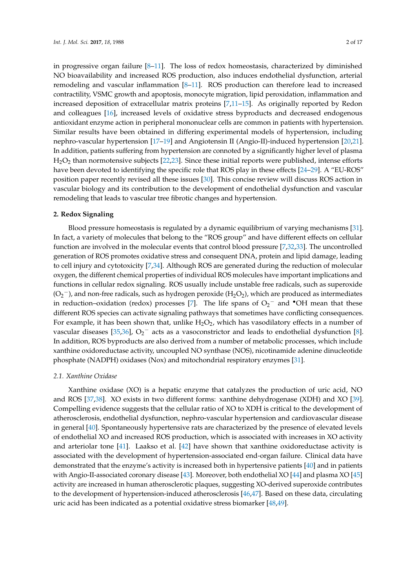in progressive organ failure  $[8-11]$  $[8-11]$ . The loss of redox homeostasis, characterized by diminished NO bioavailability and increased ROS production, also induces endothelial dysfunction, arterial remodeling and vascular inflammation [\[8–](#page-7-7)[11\]](#page-8-0). ROS production can therefore lead to increased contractility, VSMC growth and apoptosis, monocyte migration, lipid peroxidation, inflammation and increased deposition of extracellular matrix proteins [\[7,](#page-7-6)[11](#page-8-0)[–15\]](#page-8-1). As originally reported by Redon and colleagues [\[16\]](#page-8-2), increased levels of oxidative stress byproducts and decreased endogenous antioxidant enzyme action in peripheral mononuclear cells are common in patients with hypertension. Similar results have been obtained in differing experimental models of hypertension, including nephro-vascular hypertension [\[17–](#page-8-3)[19\]](#page-8-4) and Angiotensin II (Angio-II)-induced hypertension [\[20,](#page-8-5)[21\]](#page-8-6). In addition, patients suffering from hypertension are connoted by a significantly higher level of plasma  $H<sub>2</sub>O<sub>2</sub>$  than normotensive subjects [\[22,](#page-8-7)[23\]](#page-8-8). Since these initial reports were published, intense efforts have been devoted to identifying the specific role that ROS play in these effects [\[24–](#page-8-9)[29\]](#page-9-0). A "EU-ROS" position paper recently revised all these issues [\[30\]](#page-9-1). This concise review will discuss ROS action in vascular biology and its contribution to the development of endothelial dysfunction and vascular remodeling that leads to vascular tree fibrotic changes and hypertension.

#### **2. Redox Signaling**

Blood pressure homeostasis is regulated by a dynamic equilibrium of varying mechanisms [\[31\]](#page-9-2). In fact, a variety of molecules that belong to the "ROS group" and have different effects on cellular function are involved in the molecular events that control blood pressure [\[7](#page-7-6)[,32](#page-9-3)[,33\]](#page-9-4). The uncontrolled generation of ROS promotes oxidative stress and consequent DNA, protein and lipid damage, leading to cell injury and cytotoxicity [\[7,](#page-7-6)[34\]](#page-9-5). Although ROS are generated during the reduction of molecular oxygen, the different chemical properties of individual ROS molecules have important implications and functions in cellular redox signaling. ROS usually include unstable free radicals, such as superoxide  $(O_2^-)$ , and non-free radicals, such as hydrogen peroxide (H<sub>2</sub>O<sub>2</sub>), which are produced as intermediates in reduction–oxidation (redox) processes [\[7\]](#page-7-6). The life spans of  $O_2^-$  and  $\bullet$ OH mean that these different ROS species can activate signaling pathways that sometimes have conflicting consequences. For example, it has been shown that, unlike  $H_2O_2$ , which has vasodilatory effects in a number of vascular diseases [\[35,](#page-9-6)[36\]](#page-9-7),  $O_2$ <sup>-</sup> acts as a vasoconstrictor and leads to endothelial dysfunction [\[8\]](#page-7-7). In addition, ROS byproducts are also derived from a number of metabolic processes, which include xanthine oxidoreductase activity, uncoupled NO synthase (NOS), nicotinamide adenine dinucleotide phosphate (NADPH) oxidases (Nox) and mitochondrial respiratory enzymes [\[31\]](#page-9-2).

#### *2.1. Xanthine Oxidase*

Xanthine oxidase (XO) is a hepatic enzyme that catalyzes the production of uric acid, NO and ROS [\[37,](#page-9-8)[38\]](#page-9-9). XO exists in two different forms: xanthine dehydrogenase (XDH) and XO [\[39\]](#page-9-10). Compelling evidence suggests that the cellular ratio of XO to XDH is critical to the development of atherosclerosis, endothelial dysfunction, nephro-vascular hypertension and cardiovascular disease in general [\[40\]](#page-9-11). Spontaneously hypertensive rats are characterized by the presence of elevated levels of endothelial XO and increased ROS production, which is associated with increases in XO activity and arteriolar tone [\[41\]](#page-9-12). Laakso et al. [\[42\]](#page-9-13) have shown that xanthine oxidoreductase activity is associated with the development of hypertension-associated end-organ failure. Clinical data have demonstrated that the enzyme's activity is increased both in hypertensive patients [\[40\]](#page-9-11) and in patients with Angio-II-associated coronary disease [\[43\]](#page-9-14). Moreover, both endothelial XO [\[44\]](#page-9-15) and plasma XO [\[45\]](#page-9-16) activity are increased in human atherosclerotic plaques, suggesting XO-derived superoxide contributes to the development of hypertension-induced atherosclerosis [\[46](#page-9-17)[,47\]](#page-9-18). Based on these data, circulating uric acid has been indicated as a potential oxidative stress biomarker [\[48,](#page-9-19)[49\]](#page-10-0).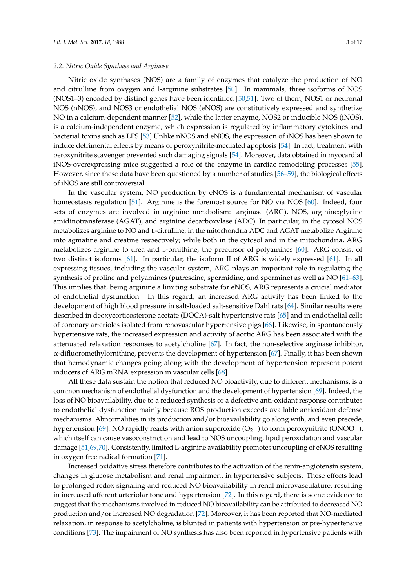#### *2.2. Nitric Oxide Synthase and Arginase*

Nitric oxide synthases (NOS) are a family of enzymes that catalyze the production of NO and citrulline from oxygen and l-arginine substrates [\[50\]](#page-10-1). In mammals, three isoforms of NOS (NOS1–3) encoded by distinct genes have been identified [\[50,](#page-10-1)[51\]](#page-10-2). Two of them, NOS1 or neuronal NOS (nNOS), and NOS3 or endothelial NOS (eNOS) are constitutively expressed and synthetize NO in a calcium-dependent manner [\[52\]](#page-10-3), while the latter enzyme, NOS2 or inducible NOS (iNOS), is a calcium-independent enzyme, which expression is regulated by inflammatory cytokines and bacterial toxins such as LPS [\[53\]](#page-10-4) Unlike nNOS and eNOS, the expression of iNOS has been shown to induce detrimental effects by means of peroxynitrite-mediated apoptosis [\[54\]](#page-10-5). In fact, treatment with peroxynitrite scavenger prevented such damaging signals [\[54\]](#page-10-5). Moreover, data obtained in myocardial iNOS-overexpressing mice suggested a role of the enzyme in cardiac remodeling processes [\[55\]](#page-10-6). However, since these data have been questioned by a number of studies [\[56–](#page-10-7)[59\]](#page-10-8), the biological effects of iNOS are still controversial.

In the vascular system, NO production by eNOS is a fundamental mechanism of vascular homeostasis regulation [\[51\]](#page-10-2). Arginine is the foremost source for NO via NOS [\[60\]](#page-10-9). Indeed, four sets of enzymes are involved in arginine metabolism: arginase (ARG), NOS, arginine:glycine amidinotransferase (AGAT), and arginine decarboxylase (ADC). In particular, in the cytosol NOS metabolizes arginine to NO and L-citrulline; in the mitochondria ADC and AGAT metabolize Arginine into agmatine and creatine respectively; while both in the cytosol and in the mitochondria, ARG metabolizes arginine to urea and L-ornithine, the precursor of polyamines [\[60\]](#page-10-9). ARG consist of two distinct isoforms [\[61\]](#page-10-10). In particular, the isoform II of ARG is widely expressed [\[61\]](#page-10-10). In all expressing tissues, including the vascular system, ARG plays an important role in regulating the synthesis of proline and polyamines (putrescine, spermidine, and spermine) as well as NO [\[61–](#page-10-10)[63\]](#page-10-11). This implies that, being arginine a limiting substrate for eNOS, ARG represents a crucial mediator of endothelial dysfunction. In this regard, an increased ARG activity has been linked to the development of high blood pressure in salt-loaded salt-sensitive Dahl rats [\[64\]](#page-10-12). Similar results were described in deoxycorticosterone acetate (DOCA)-salt hypertensive rats [\[65\]](#page-10-13) and in endothelial cells of coronary arterioles isolated from renovascular hypertensive pigs [\[66\]](#page-10-14). Likewise, in spontaneously hypertensive rats, the increased expression and activity of aortic ARG has been associated with the attenuated relaxation responses to acetylcholine [\[67\]](#page-10-15). In fact, the non-selective arginase inhibitor,  $\alpha$ -difluoromethylornithine, prevents the development of hypertension [\[67\]](#page-10-15). Finally, it has been shown that hemodynamic changes going along with the development of hypertension represent potent inducers of ARG mRNA expression in vascular cells [\[68\]](#page-11-0).

All these data sustain the notion that reduced NO bioactivity, due to different mechanisms, is a common mechanism of endothelial dysfunction and the development of hypertension [\[69\]](#page-11-1). Indeed, the loss of NO bioavailability, due to a reduced synthesis or a defective anti-oxidant response contributes to endothelial dysfunction mainly because ROS production exceeds available antioxidant defense mechanisms. Abnormalities in its production and/or bioavailability go along with, and even precede, hypertension [\[69\]](#page-11-1). NO rapidly reacts with anion superoxide  $(O_2^-)$  to form peroxynitrite (ONOO<sup>-</sup>), which itself can cause vasoconstriction and lead to NOS uncoupling, lipid peroxidation and vascular damage [\[51,](#page-10-2)[69,](#page-11-1)[70\]](#page-11-2). Consistently, limited L-arginine availability promotes uncoupling of eNOS resulting in oxygen free radical formation [\[71\]](#page-11-3).

Increased oxidative stress therefore contributes to the activation of the renin-angiotensin system, changes in glucose metabolism and renal impairment in hypertensive subjects. These effects lead to prolonged redox signaling and reduced NO bioavailability in renal microvasculature, resulting in increased afferent arteriolar tone and hypertension [\[72\]](#page-11-4). In this regard, there is some evidence to suggest that the mechanisms involved in reduced NO bioavailability can be attributed to decreased NO production and/or increased NO degradation [\[72\]](#page-11-4). Moreover, it has been reported that NO-mediated relaxation, in response to acetylcholine, is blunted in patients with hypertension or pre-hypertensive conditions [\[73\]](#page-11-5). The impairment of NO synthesis has also been reported in hypertensive patients with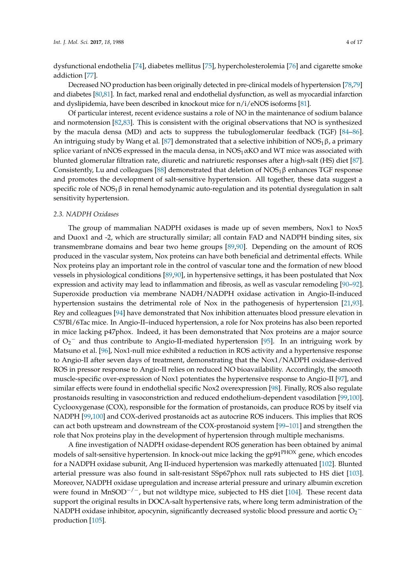dysfunctional endothelia [\[74\]](#page-11-6), diabetes mellitus [\[75\]](#page-11-7), hypercholesterolemia [\[76\]](#page-11-8) and cigarette smoke addiction [\[77\]](#page-11-9).

Decreased NO production has been originally detected in pre-clinical models of hypertension [\[78](#page-11-10)[,79\]](#page-11-11) and diabetes [\[80,](#page-11-12)[81\]](#page-11-13). In fact, marked renal and endothelial dysfunction, as well as myocardial infarction and dyslipidemia, have been described in knockout mice for  $n/i$ /eNOS isoforms [\[81\]](#page-11-13).

Of particular interest, recent evidence sustains a role of NO in the maintenance of sodium balance and normotension [\[82](#page-11-14)[,83\]](#page-11-15). This is consistent with the original observations that NO is synthesized by the macula densa (MD) and acts to suppress the tubuloglomerular feedback (TGF) [\[84–](#page-11-16)[86\]](#page-11-17). An intriguing study by Wang et al. [\[87\]](#page-12-0) demonstrated that a selective inhibition of  $NOS<sub>1</sub> \beta$ , a primary splice variant of nNOS expressed in the macula densa, in  $NOS_1 \alpha KO$  and WT mice was associated with blunted glomerular filtration rate, diuretic and natriuretic responses after a high-salt (HS) diet [\[87\]](#page-12-0). Consistently, Lu and colleagues [\[88\]](#page-12-1) demonstrated that deletion of  $NOS_1\beta$  enhances TGF response and promotes the development of salt-sensitive hypertension. All together, these data suggest a specific role of  $NOS_1\beta$  in renal hemodynamic auto-regulation and its potential dysregulation in salt sensitivity hypertension.

#### *2.3. NADPH Oxidases*

The group of mammalian NADPH oxidases is made up of seven members, Nox1 to Nox5 and Duox1 and -2, which are structurally similar; all contain FAD and NADPH binding sites, six transmembrane domains and bear two heme groups [\[89,](#page-12-2)[90\]](#page-12-3). Depending on the amount of ROS produced in the vascular system, Nox proteins can have both beneficial and detrimental effects. While Nox proteins play an important role in the control of vascular tone and the formation of new blood vessels in physiological conditions [\[89,](#page-12-2)[90\]](#page-12-3), in hypertensive settings, it has been postulated that Nox expression and activity may lead to inflammation and fibrosis, as well as vascular remodeling [\[90–](#page-12-3)[92\]](#page-12-4). Superoxide production via membrane NADH/NADPH oxidase activation in Angio-II-induced hypertension sustains the detrimental role of Nox in the pathogenesis of hypertension [\[21,](#page-8-6)[93\]](#page-12-5). Rey and colleagues [\[94\]](#page-12-6) have demonstrated that Nox inhibition attenuates blood pressure elevation in C57Bl/6Tac mice. In Angio-II–induced hypertension, a role for Nox proteins has also been reported in mice lacking p47phox. Indeed, it has been demonstrated that Nox proteins are a major source of  $O_2$ <sup>-</sup> and thus contribute to Angio-II-mediated hypertension [\[95\]](#page-12-7). In an intriguing work by Matsuno et al. [\[96\]](#page-12-8), Nox1-null mice exhibited a reduction in ROS activity and a hypertensive response to Angio-II after seven days of treatment, demonstrating that the Nox1/NADPH oxidase-derived ROS in pressor response to Angio-II relies on reduced NO bioavailability. Accordingly, the smooth muscle-specific over-expression of Nox1 potentiates the hypertensive response to Angio-II [\[97\]](#page-12-9), and similar effects were found in endothelial specific Nox2 overexpression [\[98\]](#page-12-10). Finally, ROS also regulate prostanoids resulting in vasoconstriction and reduced endothelium-dependent vasodilation [\[99,](#page-12-11)[100\]](#page-12-12). Cyclooxygenase (COX), responsible for the formation of prostanoids, can produce ROS by itself via NADPH [\[99,](#page-12-11)[100\]](#page-12-12) and COX-derived prostanoids act as autocrine ROS inducers. This implies that ROS can act both upstream and downstream of the COX-prostanoid system [\[99–](#page-12-11)[101\]](#page-12-13) and strengthen the role that Nox proteins play in the development of hypertension through multiple mechanisms.

A fine investigation of NADPH oxidase-dependent ROS generation has been obtained by animal models of salt-sensitive hypertension. In knock-out mice lacking the gp91<sup>PHOX</sup> gene, which encodes for a NADPH oxidase subunit, Ang II-induced hypertension was markedly attenuated [\[102\]](#page-12-14). Blunted arterial pressure was also found in salt-resistant SSp67phox null rats subjected to HS diet [\[103\]](#page-12-15). Moreover, NADPH oxidase upregulation and increase arterial pressure and urinary albumin excretion were found in MnSOD<sup>-/-</sup>, but not wildtype mice, subjected to HS diet [\[104\]](#page-12-16). These recent data support the original results in DOCA-salt hypertensive rats, where long term administration of the NADPH oxidase inhibitor, apocynin, significantly decreased systolic blood pressure and aortic  $\rm O_2^{-1}$ production [\[105\]](#page-13-0).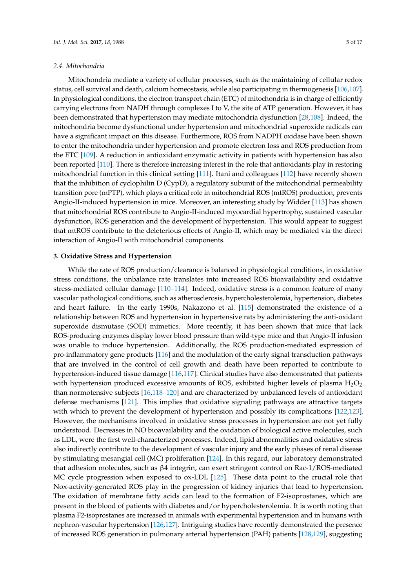Mitochondria mediate a variety of cellular processes, such as the maintaining of cellular redox status, cell survival and death, calcium homeostasis, while also participating in thermogenesis [\[106](#page-13-1)[,107\]](#page-13-2). In physiological conditions, the electron transport chain (ETC) of mitochondria is in charge of efficiently carrying electrons from NADH through complexes I to V, the site of ATP generation. However, it has been demonstrated that hypertension may mediate mitochondria dysfunction [\[28,](#page-8-10)[108\]](#page-13-3). Indeed, the mitochondria become dysfunctional under hypertension and mitochondrial superoxide radicals can have a significant impact on this disease. Furthermore, ROS from NADPH oxidase have been shown to enter the mitochondria under hypertension and promote electron loss and ROS production from the ETC [\[109\]](#page-13-4). A reduction in antioxidant enzymatic activity in patients with hypertension has also been reported [\[110\]](#page-13-5). There is therefore increasing interest in the role that antioxidants play in restoring mitochondrial function in this clinical setting [\[111\]](#page-13-6). Itani and colleagues [\[112\]](#page-13-7) have recently shown that the inhibition of cyclophilin D (CypD), a regulatory subunit of the mitochondrial permeability transition pore (mPTP), which plays a critical role in mitochondrial ROS (mtROS) production, prevents Angio-II-induced hypertension in mice. Moreover, an interesting study by Widder [\[113\]](#page-13-8) has shown that mitochondrial ROS contribute to Angio-II-induced myocardial hypertrophy, sustained vascular dysfunction, ROS generation and the development of hypertension. This would appear to suggest that mtROS contribute to the deleterious effects of Angio-II, which may be mediated via the direct interaction of Angio-II with mitochondrial components.

## **3. Oxidative Stress and Hypertension**

While the rate of ROS production/clearance is balanced in physiological conditions, in oxidative stress conditions, the unbalance rate translates into increased ROS bioavailability and oxidative stress-mediated cellular damage [\[110](#page-13-5)[–114\]](#page-13-9). Indeed, oxidative stress is a common feature of many vascular pathological conditions, such as atherosclerosis, hypercholesterolemia, hypertension, diabetes and heart failure. In the early 1990s, Nakazono et al. [\[115\]](#page-13-10) demonstrated the existence of a relationship between ROS and hypertension in hypertensive rats by administering the anti-oxidant superoxide dismutase (SOD) mimetics. More recently, it has been shown that mice that lack ROS-producing enzymes display lower blood pressure than wild-type mice and that Angio-II infusion was unable to induce hypertension. Additionally, the ROS production-mediated expression of pro-inflammatory gene products [\[116\]](#page-13-11) and the modulation of the early signal transduction pathways that are involved in the control of cell growth and death have been reported to contribute to hypertension-induced tissue damage [\[116,](#page-13-11)[117\]](#page-13-12). Clinical studies have also demonstrated that patients with hypertension produced excessive amounts of ROS, exhibited higher levels of plasma  $H_2O_2$ than normotensive subjects [\[16](#page-8-2)[,118–](#page-13-13)[120\]](#page-13-14) and are characterized by unbalanced levels of antioxidant defense mechanisms [\[121\]](#page-13-15). This implies that oxidative signaling pathways are attractive targets with which to prevent the development of hypertension and possibly its complications [\[122,](#page-13-16)[123\]](#page-13-17). However, the mechanisms involved in oxidative stress processes in hypertension are not yet fully understood. Decreases in NO bioavailability and the oxidation of biological active molecules, such as LDL, were the first well-characterized processes. Indeed, lipid abnormalities and oxidative stress also indirectly contribute to the development of vascular injury and the early phases of renal disease by stimulating mesangial cell (MC) proliferation [\[124\]](#page-14-0). In this regard, our laboratory demonstrated that adhesion molecules, such as β4 integrin, can exert stringent control on Rac-1/ROS-mediated MC cycle progression when exposed to ox-LDL [\[125\]](#page-14-1). These data point to the crucial role that Nox-activity-generated ROS play in the progression of kidney injuries that lead to hypertension. The oxidation of membrane fatty acids can lead to the formation of F2-isoprostanes, which are present in the blood of patients with diabetes and/or hypercholesterolemia. It is worth noting that plasma F2-isoprostanes are increased in animals with experimental hypertension and in humans with nephron-vascular hypertension [\[126](#page-14-2)[,127\]](#page-14-3). Intriguing studies have recently demonstrated the presence of increased ROS generation in pulmonary arterial hypertension (PAH) patients [\[128,](#page-14-4)[129\]](#page-14-5), suggesting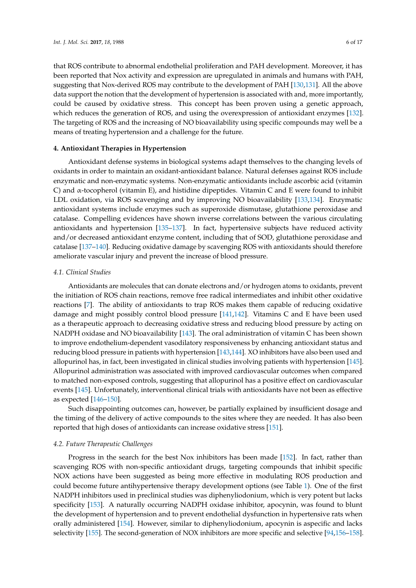that ROS contribute to abnormal endothelial proliferation and PAH development. Moreover, it has been reported that Nox activity and expression are upregulated in animals and humans with PAH, suggesting that Nox-derived ROS may contribute to the development of PAH [\[130](#page-14-6)[,131\]](#page-14-7). All the above data support the notion that the development of hypertension is associated with and, more importantly, could be caused by oxidative stress. This concept has been proven using a genetic approach, which reduces the generation of ROS, and using the overexpression of antioxidant enzymes [\[132\]](#page-14-8). The targeting of ROS and the increasing of NO bioavailability using specific compounds may well be a means of treating hypertension and a challenge for the future.

## **4. Antioxidant Therapies in Hypertension**

Antioxidant defense systems in biological systems adapt themselves to the changing levels of oxidants in order to maintain an oxidant-antioxidant balance. Natural defenses against ROS include enzymatic and non-enzymatic systems. Non-enzymatic antioxidants include ascorbic acid (vitamin C) and α-tocopherol (vitamin E), and histidine dipeptides. Vitamin C and E were found to inhibit LDL oxidation, via ROS scavenging and by improving NO bioavailability [\[133,](#page-14-9)[134\]](#page-14-10). Enzymatic antioxidant systems include enzymes such as superoxide dismutase, glutathione peroxidase and catalase. Compelling evidences have shown inverse correlations between the various circulating antioxidants and hypertension [\[135](#page-14-11)[–137\]](#page-14-12). In fact, hypertensive subjects have reduced activity and/or decreased antioxidant enzyme content, including that of SOD, glutathione peroxidase and catalase [\[137–](#page-14-12)[140\]](#page-14-13). Reducing oxidative damage by scavenging ROS with antioxidants should therefore ameliorate vascular injury and prevent the increase of blood pressure.

## *4.1. Clinical Studies*

Antioxidants are molecules that can donate electrons and/or hydrogen atoms to oxidants, prevent the initiation of ROS chain reactions, remove free radical intermediates and inhibit other oxidative reactions [\[7\]](#page-7-6). The ability of antioxidants to trap ROS makes them capable of reducing oxidative damage and might possibly control blood pressure [\[141,](#page-14-14)[142\]](#page-14-15). Vitamins C and E have been used as a therapeutic approach to decreasing oxidative stress and reducing blood pressure by acting on NADPH oxidase and NO bioavailability [\[143\]](#page-14-16). The oral administration of vitamin C has been shown to improve endothelium-dependent vasodilatory responsiveness by enhancing antioxidant status and reducing blood pressure in patients with hypertension [\[143](#page-14-16)[,144\]](#page-14-17). XO inhibitors have also been used and allopurinol has, in fact, been investigated in clinical studies involving patients with hypertension [\[145\]](#page-15-0). Allopurinol administration was associated with improved cardiovascular outcomes when compared to matched non-exposed controls, suggesting that allopurinol has a positive effect on cardiovascular events [\[145\]](#page-15-0). Unfortunately, interventional clinical trials with antioxidants have not been as effective as expected [\[146](#page-15-1)[–150\]](#page-15-2).

Such disappointing outcomes can, however, be partially explained by insufficient dosage and the timing of the delivery of active compounds to the sites where they are needed. It has also been reported that high doses of antioxidants can increase oxidative stress [\[151\]](#page-15-3).

#### *4.2. Future Therapeutic Challenges*

Progress in the search for the best Nox inhibitors has been made [\[152\]](#page-15-4). In fact, rather than scavenging ROS with non-specific antioxidant drugs, targeting compounds that inhibit specific NOX actions have been suggested as being more effective in modulating ROS production and could become future antihypertensive therapy development options (see Table [1\)](#page-6-0). One of the first NADPH inhibitors used in preclinical studies was diphenyliodonium, which is very potent but lacks specificity [\[153\]](#page-15-5). A naturally occurring NADPH oxidase inhibitor, apocynin, was found to blunt the development of hypertension and to prevent endothelial dysfunction in hypertensive rats when orally administered [\[154\]](#page-15-6). However, similar to diphenyliodonium, apocynin is aspecific and lacks selectivity [\[155\]](#page-15-7). The second-generation of NOX inhibitors are more specific and selective [\[94,](#page-12-6)[156–](#page-15-8)[158\]](#page-15-9).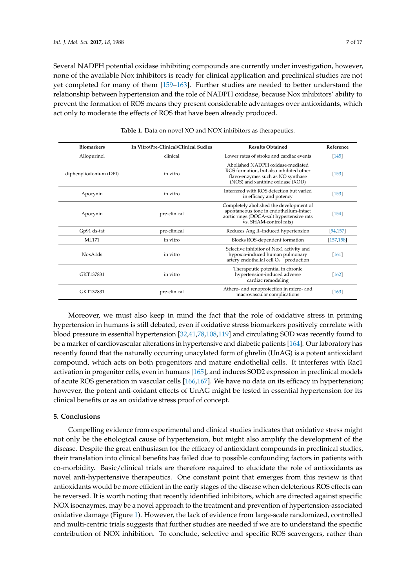Several NADPH potential oxidase inhibiting compounds are currently under investigation, however, none of the available Nox inhibitors is ready for clinical application and preclinical studies are not yet completed for many of them [\[159–](#page-15-10)[163\]](#page-16-0). Further studies are needed to better understand the relationship between hypertension and the role of NADPH oxidase, because Nox inhibitors' ability to prevent the formation of ROS means they present considerable advantages over antioxidants, which act only to moderate the effects of ROS that have been already produced.

<span id="page-6-0"></span>

| <b>Biomarkers</b>                | In Vitro/Pre-Clinical/Clinical Sudies | <b>Results Obtained</b>                                                                                                                                  | Reference  |
|----------------------------------|---------------------------------------|----------------------------------------------------------------------------------------------------------------------------------------------------------|------------|
| Allopurinol                      | clinical                              | Lower rates of stroke and cardiac events                                                                                                                 | $[145]$    |
| diphenyliodonium (DPI)           | in vitro                              | Abolished NADPH oxidase-mediated<br>ROS formation, but also inhibited other<br>flavo-enzymes such as NO synthase<br>(NOS) and xanthine oxidase (XOD)     | [153]      |
| Apocynin                         | in vitro                              | Interfered with ROS detection but varied<br>in efficacy and potency                                                                                      | [153]      |
| Apocynin                         | pre-clinical                          | Completely abolished the development of<br>spontaneous tone in endothelium-intact<br>aortic rings (DOCA-salt hypertensive rats<br>vs. SHAM-control rats) | $[154]$    |
| Gp91 ds-tat                      | pre-clinical                          | Reduces Ang II-induced hypertension                                                                                                                      | [94, 157]  |
| <b>ML171</b>                     | in vitro                              | Blocks ROS-dependent formation                                                                                                                           | [157, 158] |
| NoxA <sub>1</sub> d <sub>s</sub> | in vitro                              | Selective inhibitor of Nox1 activity and<br>hypoxia-induced human pulmonary<br>artery endothelial cell $O_2$ <sup>-</sup> production                     | [161]      |
| GKT137831                        | in vitro                              | Therapeutic potential in chronic<br>hypertension-induced adverse<br>cardiac remodeling                                                                   | [162]      |
| GKT137831                        | pre-clinical                          | Athero- and renoprotection in micro- and<br>macrovascular complications                                                                                  | [163]      |

**Table 1.** Data on novel XO and NOX inhibitors as therapeutics.

Moreover, we must also keep in mind the fact that the role of oxidative stress in priming hypertension in humans is still debated, even if oxidative stress biomarkers positively correlate with blood pressure in essential hypertension [\[32](#page-9-3)[,41,](#page-9-12)[78,](#page-11-10)[108,](#page-13-3)[119\]](#page-13-18) and circulating SOD was recently found to be a marker of cardiovascular alterations in hypertensive and diabetic patients [\[164\]](#page-16-1). Our laboratory has recently found that the naturally occurring unacylated form of ghrelin (UnAG) is a potent antioxidant compound, which acts on both progenitors and mature endothelial cells. It interferes with Rac1 activation in progenitor cells, even in humans [\[165\]](#page-16-2), and induces SOD2 expression in preclinical models of acute ROS generation in vascular cells [\[166](#page-16-3)[,167\]](#page-16-4). We have no data on its efficacy in hypertension; however, the potent anti-oxidant effects of UnAG might be tested in essential hypertension for its clinical benefits or as an oxidative stress proof of concept.

### **5. Conclusions**

Compelling evidence from experimental and clinical studies indicates that oxidative stress might not only be the etiological cause of hypertension, but might also amplify the development of the disease. Despite the great enthusiasm for the efficacy of antioxidant compounds in preclinical studies, their translation into clinical benefits has failed due to possible confounding factors in patients with co-morbidity. Basic/clinical trials are therefore required to elucidate the role of antioxidants as novel anti-hypertensive therapeutics. One constant point that emerges from this review is that antioxidants would be more efficient in the early stages of the disease when deleterious ROS effects can be reversed. It is worth noting that recently identified inhibitors, which are directed against specific NOX isoenzymes, may be a novel approach to the treatment and prevention of hypertension-associated oxidative damage (Figure [1\)](#page-7-8). However, the lack of evidence from large-scale randomized, controlled and multi-centric trials suggests that further studies are needed if we are to understand the specific contribution of NOX inhibition. To conclude, selective and specific ROS scavengers, rather than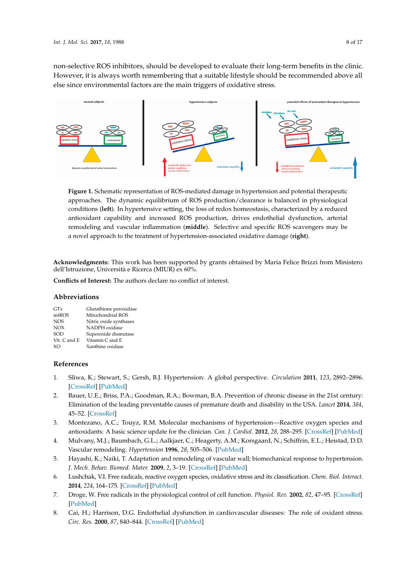non-selective ROS inhibitors, should be developed to evaluate their long-term benefits in the clinic. However, it is always worth remembering that a suitable lifestyle should be recommended above all else since environmental factors are the main triggers of oxidative stress.

<span id="page-7-8"></span>

**Figure 1.** Schematic representation of ROS-mediated damage in hypertension and potential **Figure 1.** Schematic representation of ROS-mediated damage in hypertension and potential therapeutic approaches. The dynamic equilibrium of ROS production/clearance is balanced in physiological conditions (left). In hypertensive setting, the loss of redox homeostasis, characterized by a reduced antioxidant capability and increased ROS production, drives endothelial dysfunction, arterial remodeling and vascular inflammation (middle). Selective and specific ROS scavengers may be be a novel approach to the treatment of hypertension-associated oxidative damage (**right**). a novel approach to the treatment of hypertension-associated oxidative damage (**right**).

**Acknowledgments:** This work has been supported by grants obtained by Maria Felice Brizzi from Ministero<br>Julian Service Ministero  $m<sub>1</sub>$  means  $m<sub>2</sub>$  means  $m<sub>3</sub>$ dell'Istruzione, Università e Ricerca (MIUR) ex 60%.

**Conflicts of Interest:** The authors declare no conflict of interest.

## Abbreviations SOD Superoxide dismutase

| GTx              | Glutathione peroxidase |
|------------------|------------------------|
| mtROS            | Mitochondrial ROS      |
| NOS <sup>.</sup> | Nitric oxide synthases |
| <b>NOX</b>       | NADPH oxidase          |
| SOD              | Superoxide dismutase   |
| Vit. C and E     | Vitamin C and E        |
| XO.              | Xanthine oxidase       |

#### **Conflicts of Interest:** The authors declare no conflict of interest. **References**

- <span id="page-7-0"></span>**References**  1. Sliwa, K.; Stewart, S.; Gersh, B.J. Hypertension: A global perspective. *Circulation* **2011**, *123*, 2892–2896. 1. Sliwa, K.; Stewart, S.; Gersh, B.J. Hypertension: A global perspective. *Circulation* **2011**, *123*, 2892–2896. [\[CrossRef\]](http://dx.doi.org/10.1161/CIRCULATIONAHA.110.992362) [\[PubMed\]](http://www.ncbi.nlm.nih.gov/pubmed/21690504)
- <span id="page-7-1"></span>2. Bauer, U.E.; Briss, P.A.; Goodman, R.A.; Bowman, B.A. Prevention of chronic disease in the 21st century: 2. Bauer, U.E.; Briss, P.A.; Goodman, R.A.; Bowman, B.A. Prevention of chronic disease in the 21st century: Elimination of the leading preventable causes of premature death and disability in the USA. *Lancet* 2014, 384, *384*, 45–52. 45–52. [\[CrossRef\]](http://dx.doi.org/10.1016/S0140-6736(14)60648-6)
- <span id="page-7-2"></span>3. Montezano, A.C.; Touyz, R.M. Molecular mechanisms of hypertension—Reactive oxygen species and 3. Montezano, A.C.; Touyz, R.M. Molecular mechanisms of hypertension—Reactive oxygen species and antioxidants: A basic science update for the clinician. Can. J. Cardiol. 2012, 28, 288-295. [\[CrossRef\]](http://dx.doi.org/10.1016/j.cjca.2012.01.017) [\[PubMed\]](http://www.ncbi.nlm.nih.gov/pubmed/22445098)
- <span id="page-7-3"></span>4. Mulvany, M.J.; Baumbach, G.L.; Aalkjaer, C.; Heagerty, A.M.; Korsgaard, N.; Schiffrin, E.L.; Heistad, D.D. 4. Mulvany, M.J.; Baumbach, G.L.; Aalkjaer, C.; Heagerty, A.M.; Korsgaard, N.; Schiffrin, E.L.; Heistad, D.D. Vascular remodeling*. Hypertension* **1996**, *28*, 505*–*506. Vascular remodeling. *Hypertension* **1996**, *28*, 505–506. [\[PubMed\]](http://www.ncbi.nlm.nih.gov/pubmed/8794840)
- <span id="page-7-4"></span>5. Hayashi, K.; Naiki, T. Adaptation and remodeling of vascular wall; biomechanical response to 5. Hayashi, K.; Naiki, T. Adaptation and remodeling of vascular wall; biomechanical response to hypertension. hypertension. *J*. *Mech*. *Behav*. *Biomed*. *Mater*. **2009**, *2*, 3–19. *J. Mech. Behav. Biomed. Mater.* **2009**, *2*, 3–19. [\[CrossRef\]](http://dx.doi.org/10.1016/j.jmbbm.2008.05.002) [\[PubMed\]](http://www.ncbi.nlm.nih.gov/pubmed/19627803)
- <span id="page-7-5"></span>6. Lushchak, V.I. Free radicals, reactive oxygen species, oxidative stress and its classification. Chem. Biol. Interact. *Interact*. **2014**, *224*, 164–175, doi:10.1016/j.cbi.2014.10.016. **2014**, *224*, 164–175. [\[CrossRef\]](http://dx.doi.org/10.1016/j.cbi.2014.10.016) [\[PubMed\]](http://www.ncbi.nlm.nih.gov/pubmed/25452175)
- <span id="page-7-6"></span>7. Droge, W. Free radicals in the physiological control of cell function. *Physiol. Rev.* 2002, 82, 47–95. [\[CrossRef\]](http://dx.doi.org/10.1152/physrev.00018.2001)<br>In 1940, 11 [\[PubMed\]](http://www.ncbi.nlm.nih.gov/pubmed/11773609)
- <span id="page-7-7"></span> $\alpha$ :  $\alpha$ . 1152/physical points  $\alpha$ 8. Cai, H.; Harrison, D.G. Endothelial dysfunction in cardiovascular diseases: The role of oxidant stress. *Res*. **2000**, *87*, 840*–*844*. Circ. Res.* **2000**, *87*, 840–844. [\[CrossRef\]](http://dx.doi.org/10.1161/01.RES.87.10.840) [\[PubMed\]](http://www.ncbi.nlm.nih.gov/pubmed/11073878)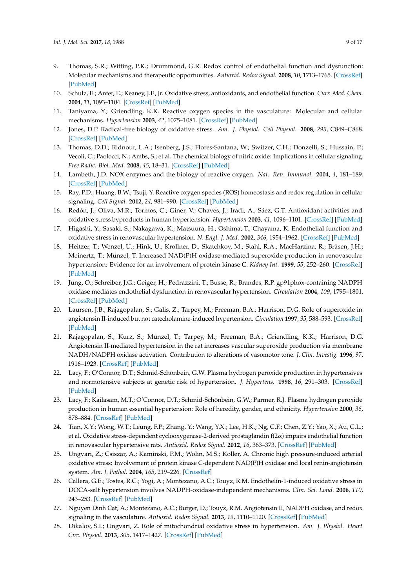- 9. Thomas, S.R.; Witting, P.K.; Drummond, G.R. Redox control of endothelial function and dysfunction: Molecular mechanisms and therapeutic opportunities. *Antioxid. Redox Signal.* **2008**, *10*, 1713–1765. [\[CrossRef\]](http://dx.doi.org/10.1089/ars.2008.2027) [\[PubMed\]](http://www.ncbi.nlm.nih.gov/pubmed/18707220)
- 10. Schulz, E.; Anter, E.; Keaney, J.F., Jr. Oxidative stress, antioxidants, and endothelial function. *Curr. Med. Chem.* **2004**, *11*, 1093–1104. [\[CrossRef\]](http://dx.doi.org/10.2174/0929867043365369) [\[PubMed\]](http://www.ncbi.nlm.nih.gov/pubmed/15134508)
- <span id="page-8-0"></span>11. Taniyama, Y.; Griendling, K.K. Reactive oxygen species in the vasculature: Molecular and cellular mechanisms. *Hypertension* **2003**, *42*, 1075–1081. [\[CrossRef\]](http://dx.doi.org/10.1161/01.HYP.0000100443.09293.4F) [\[PubMed\]](http://www.ncbi.nlm.nih.gov/pubmed/14581295)
- 12. Jones, D.P. Radical-free biology of oxidative stress. *Am. J. Physiol. Cell Physiol.* **2008**, *295*, C849–C868. [\[CrossRef\]](http://dx.doi.org/10.1152/ajpcell.00283.2008) [\[PubMed\]](http://www.ncbi.nlm.nih.gov/pubmed/18684987)
- 13. Thomas, D.D.; Ridnour, L.A.; Isenberg, J.S.; Flores-Santana, W.; Switzer, C.H.; Donzelli, S.; Hussain, P.; Vecoli, C.; Paolocci, N.; Ambs, S.; et al. The chemical biology of nitric oxide: Implications in cellular signaling. *Free Radic. Biol. Med.* **2008**, *45*, 18–31. [\[CrossRef\]](http://dx.doi.org/10.1016/j.freeradbiomed.2008.03.020) [\[PubMed\]](http://www.ncbi.nlm.nih.gov/pubmed/18439435)
- 14. Lambeth, J.D. NOX enzymes and the biology of reactive oxygen. *Nat. Rev. Immunol.* **2004**, *4*, 181–189. [\[CrossRef\]](http://dx.doi.org/10.1038/nri1312) [\[PubMed\]](http://www.ncbi.nlm.nih.gov/pubmed/15039755)
- <span id="page-8-1"></span>15. Ray, P.D.; Huang, B.W.; Tsuji, Y. Reactive oxygen species (ROS) homeostasis and redox regulation in cellular signaling. *Cell Signal.* **2012**, *24*, 981–990. [\[CrossRef\]](http://dx.doi.org/10.1016/j.cellsig.2012.01.008) [\[PubMed\]](http://www.ncbi.nlm.nih.gov/pubmed/22286106)
- <span id="page-8-2"></span>16. Redón, J.; Oliva, M.R.; Tormos, C.; Giner, V.; Chaves, J.; Iradi, A.; Sáez, G.T. Antioxidant activities and oxidative stress byproducts in human hypertension. *Hypertension* **2003**, *41*, 1096–1101. [\[CrossRef\]](http://dx.doi.org/10.1161/01.HYP.0000068370.21009.38) [\[PubMed\]](http://www.ncbi.nlm.nih.gov/pubmed/12707286)
- <span id="page-8-3"></span>17. Higashi, Y.; Sasaki, S.; Nakagawa, K.; Matsuura, H.; Oshima, T.; Chayama, K. Endothelial function and oxidative stress in renovascular hypertension. *N. Engl. J. Med.* **2002**, *346*, 1954–1962. [\[CrossRef\]](http://dx.doi.org/10.1056/NEJMoa013591) [\[PubMed\]](http://www.ncbi.nlm.nih.gov/pubmed/12075056)
- 18. Heitzer, T.; Wenzel, U.; Hink, U.; Krollner, D.; Skatchkov, M.; Stahl, R.A.; MacHarzina, R.; Bräsen, J.H.; Meinertz, T.; Münzel, T. Increased NAD(P)H oxidase-mediated superoxide production in renovascular hypertension: Evidence for an involvement of protein kinase C. *Kidney Int.* **1999**, *55*, 252–260. [\[CrossRef\]](http://dx.doi.org/10.1046/j.1523-1755.1999.00229.x) [\[PubMed\]](http://www.ncbi.nlm.nih.gov/pubmed/9893134)
- <span id="page-8-4"></span>19. Jung, O.; Schreiber, J.G.; Geiger, H.; Pedrazzini, T.; Busse, R.; Brandes, R.P. gp91phox-containing NADPH oxidase mediates endothelial dysfunction in renovascular hypertension. *Circulation* **2004**, *109*, 1795–1801. [\[CrossRef\]](http://dx.doi.org/10.1161/01.CIR.0000124223.00113.A4) [\[PubMed\]](http://www.ncbi.nlm.nih.gov/pubmed/15037533)
- <span id="page-8-5"></span>20. Laursen, J.B.; Rajagopalan, S.; Galis, Z.; Tarpey, M.; Freeman, B.A.; Harrison, D.G. Role of superoxide in angiotensin II-induced but not catecholamine-induced hypertension. *Circulation* **1997**, *95*, 588–593. [\[CrossRef\]](http://dx.doi.org/10.1161/01.CIR.95.3.588) [\[PubMed\]](http://www.ncbi.nlm.nih.gov/pubmed/9024144)
- <span id="page-8-6"></span>21. Rajagopalan, S.; Kurz, S.; Münzel, T.; Tarpey, M.; Freeman, B.A.; Griendling, K.K.; Harrison, D.G. Angiotensin II-mediated hypertension in the rat increases vascular superoxide production via membrane NADH/NADPH oxidase activation. Contribution to alterations of vasomotor tone. *J. Clin. Investig.* **1996**, *97*, 1916–1923. [\[CrossRef\]](http://dx.doi.org/10.1172/JCI118623) [\[PubMed\]](http://www.ncbi.nlm.nih.gov/pubmed/8621776)
- <span id="page-8-7"></span>22. Lacy, F.; O'Connor, D.T.; Schmid-Schönbein, G.W. Plasma hydrogen peroxide production in hypertensives and normotensive subjects at genetic risk of hypertension. *J. Hypertens.* **1998**, *16*, 291–303. [\[CrossRef\]](http://dx.doi.org/10.1097/00004872-199816030-00006) [\[PubMed\]](http://www.ncbi.nlm.nih.gov/pubmed/9557922)
- <span id="page-8-8"></span>23. Lacy, F.; Kailasam, M.T.; O'Connor, D.T.; Schmid-Schönbein, G.W.; Parmer, R.J. Plasma hydrogen peroxide production in human essential hypertension: Role of heredity, gender, and ethnicity. *Hypertension* **2000**, *36*, 878–884. [\[CrossRef\]](http://dx.doi.org/10.1161/01.HYP.36.5.878) [\[PubMed\]](http://www.ncbi.nlm.nih.gov/pubmed/11082160)
- <span id="page-8-9"></span>24. Tian, X.Y.; Wong, W.T.; Leung, F.P.; Zhang, Y.; Wang, Y.X.; Lee, H.K.; Ng, C.F.; Chen, Z.Y.; Yao, X.; Au, C.L.; et al. Oxidative stress-dependent cyclooxygenase-2-derived prostaglandin f(2α) impairs endothelial function in renovascular hypertensive rats. *Antioxid. Redox Signal.* **2012**, *16*, 363–373. [\[CrossRef\]](http://dx.doi.org/10.1089/ars.2010.3874) [\[PubMed\]](http://www.ncbi.nlm.nih.gov/pubmed/21951274)
- 25. Ungvari, Z.; Csiszar, A.; Kaminski, P.M.; Wolin, M.S.; Koller, A. Chronic high pressure-induced arterial oxidative stress: Involvement of protein kinase C-dependent NAD(P)H oxidase and local renin-angiotensin system. *Am. J. Pathol.* **2004**, *165*, 219–226. [\[CrossRef\]](http://dx.doi.org/10.1016/S0002-9440(10)63290-7)
- 26. Callera, G.E.; Tostes, R.C.; Yogi, A.; Montezano, A.C.; Touyz, R.M. Endothelin-1-induced oxidative stress in DOCA-salt hypertension involves NADPH-oxidase-independent mechanisms. *Clin. Sci. Lond.* **2006**, *110*, 243–253. [\[CrossRef\]](http://dx.doi.org/10.1042/CS20050307) [\[PubMed\]](http://www.ncbi.nlm.nih.gov/pubmed/16271043)
- 27. Nguyen Dinh Cat, A.; Montezano, A.C.; Burger, D.; Touyz, R.M. Angiotensin II, NADPH oxidase, and redox signaling in the vasculature. *Antioxid. Redox Signal.* **2013**, *19*, 1110–1120. [\[CrossRef\]](http://dx.doi.org/10.1089/ars.2012.4641) [\[PubMed\]](http://www.ncbi.nlm.nih.gov/pubmed/22530599)
- <span id="page-8-10"></span>28. Dikalov, S.I.; Ungvari, Z. Role of mitochondrial oxidative stress in hypertension. *Am. J. Physiol. Heart Circ. Physiol.* **2013**, *305*, 1417–1427. [\[CrossRef\]](http://dx.doi.org/10.1152/ajpheart.00089.2013) [\[PubMed\]](http://www.ncbi.nlm.nih.gov/pubmed/24043248)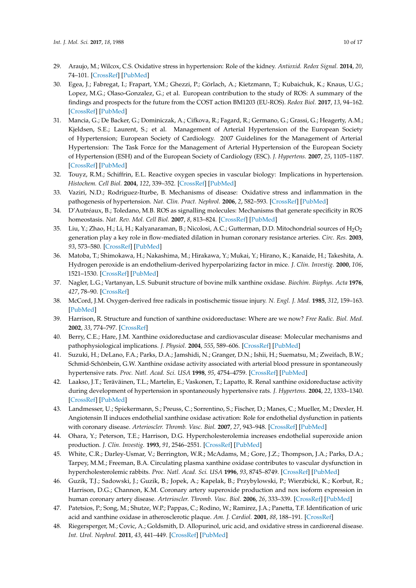- <span id="page-9-0"></span>29. Araujo, M.; Wilcox, C.S. Oxidative stress in hypertension: Role of the kidney. *Antioxid. Redox Signal.* **2014**, *20*, 74–101. [\[CrossRef\]](http://dx.doi.org/10.1089/ars.2013.5259) [\[PubMed\]](http://www.ncbi.nlm.nih.gov/pubmed/23472618)
- <span id="page-9-1"></span>30. Egea, J.; Fabregat, I.; Frapart, Y.M.; Ghezzi, P.; Görlach, A.; Kietzmann, T.; Kubaichuk, K.; Knaus, U.G.; Lopez, M.G.; Olaso-Gonzalez, G.; et al. European contribution to the study of ROS: A summary of the findings and prospects for the future from the COST action BM1203 (EU-ROS). *Redox Biol.* **2017**, *13*, 94–162. [\[CrossRef\]](http://dx.doi.org/10.1016/j.redox.2017.05.007) [\[PubMed\]](http://www.ncbi.nlm.nih.gov/pubmed/28577489)
- <span id="page-9-2"></span>31. Mancia, G.; De Backer, G.; Dominiczak, A.; Cifkova, R.; Fagard, R.; Germano, G.; Grassi, G.; Heagerty, A.M.; Kjeldsen, S.E.; Laurent, S.; et al. Management of Arterial Hypertension of the European Society of Hypertension; European Society of Cardiology. 2007 Guidelines for the Management of Arterial Hypertension: The Task Force for the Management of Arterial Hypertension of the European Society of Hypertension (ESH) and of the European Society of Cardiology (ESC). *J. Hypertens.* **2007**, *25*, 1105–1187. [\[CrossRef\]](http://dx.doi.org/10.1097/HJH.0b013e3281fc975a) [\[PubMed\]](http://www.ncbi.nlm.nih.gov/pubmed/17563527)
- <span id="page-9-3"></span>32. Touyz, R.M.; Schiffrin, E.L. Reactive oxygen species in vascular biology: Implications in hypertension. *Histochem. Cell Biol.* **2004**, *122*, 339–352. [\[CrossRef\]](http://dx.doi.org/10.1007/s00418-004-0696-7) [\[PubMed\]](http://www.ncbi.nlm.nih.gov/pubmed/15338229)
- <span id="page-9-4"></span>33. Vaziri, N.D.; Rodriguez-Iturbe, B. Mechanisms of disease: Oxidative stress and inflammation in the pathogenesis of hypertension. *Nat. Clin. Pract. Nephrol.* **2006**, *2*, 582–593. [\[CrossRef\]](http://dx.doi.org/10.1038/ncpneph0283) [\[PubMed\]](http://www.ncbi.nlm.nih.gov/pubmed/17003837)
- <span id="page-9-5"></span>34. D'Autréaux, B.; Toledano, M.B. ROS as signalling molecules: Mechanisms that generate specificity in ROS homeostasis. *Nat. Rev. Mol. Cell Biol.* **2007**, *8*, 813–824. [\[CrossRef\]](http://dx.doi.org/10.1038/nrm2256) [\[PubMed\]](http://www.ncbi.nlm.nih.gov/pubmed/17848967)
- <span id="page-9-6"></span>35. Liu, Y.; Zhao, H.; Li, H.; Kalyanaraman, B.; Nicolosi, A.C.; Gutterman, D.D. Mitochondrial sources of  $H_2O_2$ generation play a key role in flow-mediated dilation in human coronary resistance arteries. *Circ. Res.* **2003**, *93*, 573–580. [\[CrossRef\]](http://dx.doi.org/10.1161/01.RES.0000091261.19387.AE) [\[PubMed\]](http://www.ncbi.nlm.nih.gov/pubmed/12919951)
- <span id="page-9-7"></span>36. Matoba, T.; Shimokawa, H.; Nakashima, M.; Hirakawa, Y.; Mukai, Y.; Hirano, K.; Kanaide, H.; Takeshita, A. Hydrogen peroxide is an endothelium-derived hyperpolarizing factor in mice. *J. Clin. Investig.* **2000**, *106*, 1521–1530. [\[CrossRef\]](http://dx.doi.org/10.1172/JCI10506) [\[PubMed\]](http://www.ncbi.nlm.nih.gov/pubmed/11120759)
- <span id="page-9-8"></span>37. Nagler, L.G.; Vartanyan, L.S. Subunit structure of bovine milk xanthine oxidase. *Biochim. Biophys. Acta* **1976**, *427*, 78–90. [\[CrossRef\]](http://dx.doi.org/10.1016/0005-2795(76)90287-7)
- <span id="page-9-9"></span>38. McCord, J.M. Oxygen-derived free radicals in postischemic tissue injury. *N. Engl. J. Med.* **1985**, *312*, 159–163. [\[PubMed\]](http://www.ncbi.nlm.nih.gov/pubmed/2981404)
- <span id="page-9-10"></span>39. Harrison, R. Structure and function of xanthine oxidoreductase: Where are we now? *Free Radic. Biol. Med.* **2002**, *33*, 774–797. [\[CrossRef\]](http://dx.doi.org/10.1016/S0891-5849(02)00956-5)
- <span id="page-9-11"></span>40. Berry, C.E.; Hare, J.M. Xanthine oxidoreductase and cardiovascular disease: Molecular mechanisms and pathophysiological implications. *J. Physiol.* **2004**, *555*, 589–606. [\[CrossRef\]](http://dx.doi.org/10.1113/jphysiol.2003.055913) [\[PubMed\]](http://www.ncbi.nlm.nih.gov/pubmed/14694147)
- <span id="page-9-12"></span>41. Suzuki, H.; DeLano, F.A.; Parks, D.A.; Jamshidi, N.; Granger, D.N.; Ishii, H.; Suematsu, M.; Zweifach, B.W.; Schmid-Schönbein, G.W. Xanthine oxidase activity associated with arterial blood pressure in spontaneously hypertensive rats. *Proc. Natl. Acad. Sci. USA* **1998**, *95*, 4754–4759. [\[CrossRef\]](http://dx.doi.org/10.1073/pnas.95.8.4754) [\[PubMed\]](http://www.ncbi.nlm.nih.gov/pubmed/9539811)
- <span id="page-9-13"></span>42. Laakso, J.T.; Teräväinen, T.L.; Martelin, E.; Vaskonen, T.; Lapatto, R. Renal xanthine oxidoreductase activity during development of hypertension in spontaneously hypertensive rats. *J. Hypertens.* **2004**, *22*, 1333–1340. [\[CrossRef\]](http://dx.doi.org/10.1097/01.hjh.0000125441.28861.9f) [\[PubMed\]](http://www.ncbi.nlm.nih.gov/pubmed/15201549)
- <span id="page-9-14"></span>43. Landmesser, U.; Spiekermann, S.; Preuss, C.; Sorrentino, S.; Fischer, D.; Manes, C.; Mueller, M.; Drexler, H. Angiotensin II induces endothelial xanthine oxidase activation: Role for endothelial dysfunction in patients with coronary disease. *Arterioscler. Thromb. Vasc. Biol.* **2007**, *27*, 943–948. [\[CrossRef\]](http://dx.doi.org/10.1161/01.ATV.0000258415.32883.bf) [\[PubMed\]](http://www.ncbi.nlm.nih.gov/pubmed/17234726)
- <span id="page-9-15"></span>44. Ohara, Y.; Peterson, T.E.; Harrison, D.G. Hypercholesterolemia increases endothelial superoxide anion production. *J. Clin. Investig.* **1993**, *91*, 2546–2551. [\[CrossRef\]](http://dx.doi.org/10.1172/JCI116491) [\[PubMed\]](http://www.ncbi.nlm.nih.gov/pubmed/8390482)
- <span id="page-9-16"></span>45. White, C.R.; Darley-Usmar, V.; Berrington, W.R.; McAdams, M.; Gore, J.Z.; Thompson, J.A.; Parks, D.A.; Tarpey, M.M.; Freeman, B.A. Circulating plasma xanthine oxidase contributes to vascular dysfunction in hypercholesterolemic rabbits. *Proc. Natl. Acad. Sci. USA* **1996**, *93*, 8745–8749. [\[CrossRef\]](http://dx.doi.org/10.1073/pnas.93.16.8745) [\[PubMed\]](http://www.ncbi.nlm.nih.gov/pubmed/8710942)
- <span id="page-9-17"></span>46. Guzik, T.J.; Sadowski, J.; Guzik, B.; Jopek, A.; Kapelak, B.; Przybylowski, P.; Wierzbicki, K.; Korbut, R.; Harrison, D.G.; Channon, K.M. Coronary artery superoxide production and nox isoform expression in human coronary artery disease. *Arterioscler. Thromb. Vasc. Biol.* **2006**, *26*, 333–339. [\[CrossRef\]](http://dx.doi.org/10.1161/01.ATV.0000196651.64776.51) [\[PubMed\]](http://www.ncbi.nlm.nih.gov/pubmed/16293794)
- <span id="page-9-18"></span>47. Patetsios, P.; Song, M.; Shutze, W.P.; Pappas, C.; Rodino, W.; Ramirez, J.A.; Panetta, T.F. Identification of uric acid and xanthine oxidase in atherosclerotic plaque. *Am. J. Cardiol.* **2001**, *88*, 188–191. [\[CrossRef\]](http://dx.doi.org/10.1016/S0002-9149(01)01621-6)
- <span id="page-9-19"></span>48. Riegersperger, M.; Covic, A.; Goldsmith, D. Allopurinol, uric acid, and oxidative stress in cardiorenal disease. *Int. Urol. Nephrol.* **2011**, *43*, 441–449. [\[CrossRef\]](http://dx.doi.org/10.1007/s11255-011-9929-6) [\[PubMed\]](http://www.ncbi.nlm.nih.gov/pubmed/21547469)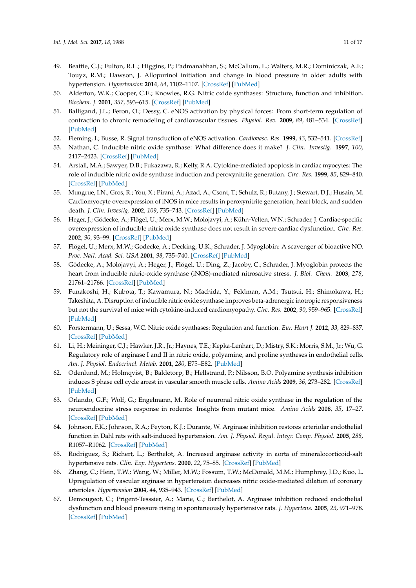- <span id="page-10-0"></span>49. Beattie, C.J.; Fulton, R.L.; Higgins, P.; Padmanabhan, S.; McCallum, L.; Walters, M.R.; Dominiczak, A.F.; Touyz, R.M.; Dawson, J. Allopurinol initiation and change in blood pressure in older adults with hypertension. *Hypertension* **2014**, *64*, 1102–1107. [\[CrossRef\]](http://dx.doi.org/10.1161/HYPERTENSIONAHA.114.03953) [\[PubMed\]](http://www.ncbi.nlm.nih.gov/pubmed/25135183)
- <span id="page-10-1"></span>50. Alderton, W.K.; Cooper, C.E.; Knowles, R.G. Nitric oxide synthases: Structure, function and inhibition. *Biochem. J.* **2001**, *357*, 593–615. [\[CrossRef\]](http://dx.doi.org/10.1042/bj3570593) [\[PubMed\]](http://www.ncbi.nlm.nih.gov/pubmed/11463332)
- <span id="page-10-2"></span>51. Balligand, J.L.; Feron, O.; Dessy, C. eNOS activation by physical forces: From short-term regulation of contraction to chronic remodeling of cardiovascular tissues. *Physiol. Rev.* **2009**, *89*, 481–534. [\[CrossRef\]](http://dx.doi.org/10.1152/physrev.00042.2007) [\[PubMed\]](http://www.ncbi.nlm.nih.gov/pubmed/19342613)
- <span id="page-10-3"></span>52. Fleming, I.; Busse, R. Signal transduction of eNOS activation. *Cardiovasc. Res.* **1999**, *43*, 532–541. [\[CrossRef\]](http://dx.doi.org/10.1016/S0008-6363(99)00094-2)
- <span id="page-10-4"></span>53. Nathan, C. Inducible nitric oxide synthase: What difference does it make? *J. Clin. Investig.* **1997**, *100*, 2417–2423. [\[CrossRef\]](http://dx.doi.org/10.1172/JCI119782) [\[PubMed\]](http://www.ncbi.nlm.nih.gov/pubmed/9366554)
- <span id="page-10-5"></span>54. Arstall, M.A.; Sawyer, D.B.; Fukazawa, R.; Kelly, R.A. Cytokine-mediated apoptosis in cardiac myocytes: The role of inducible nitric oxide synthase induction and peroxynitrite generation. *Circ. Res.* **1999**, *85*, 829–840. [\[CrossRef\]](http://dx.doi.org/10.1161/01.RES.85.9.829) [\[PubMed\]](http://www.ncbi.nlm.nih.gov/pubmed/10532951)
- <span id="page-10-6"></span>55. Mungrue, I.N.; Gros, R.; You, X.; Pirani, A.; Azad, A.; Csont, T.; Schulz, R.; Butany, J.; Stewart, D.J.; Husain, M. Cardiomyocyte overexpression of iNOS in mice results in peroxynitrite generation, heart block, and sudden death. *J. Clin. Investig.* **2002**, *109*, 735–743. [\[CrossRef\]](http://dx.doi.org/10.1172/JCI0213265) [\[PubMed\]](http://www.ncbi.nlm.nih.gov/pubmed/11901182)
- <span id="page-10-7"></span>56. Heger, J.; Gödecke, A.; Flögel, U.; Merx, M.W.; Molojavyi, A.; Kühn-Velten, W.N.; Schrader, J. Cardiac-specific overexpression of inducible nitric oxide synthase does not result in severe cardiac dysfunction. *Circ. Res.* **2002**, *90*, 93–99. [\[CrossRef\]](http://dx.doi.org/10.1161/hh0102.102757) [\[PubMed\]](http://www.ncbi.nlm.nih.gov/pubmed/11786524)
- 57. Flögel, U.; Merx, M.W.; Godecke, A.; Decking, U.K.; Schrader, J. Myoglobin: A scavenger of bioactive NO. *Proc. Natl. Acad. Sci. USA* **2001**, *98*, 735–740. [\[CrossRef\]](http://dx.doi.org/10.1073/pnas.98.2.735) [\[PubMed\]](http://www.ncbi.nlm.nih.gov/pubmed/11136228)
- 58. Gödecke, A.; Molojavyi, A.; Heger, J.; Flögel, U.; Ding, Z.; Jacoby, C.; Schrader, J. Myoglobin protects the heart from inducible nitric-oxide synthase (iNOS)-mediated nitrosative stress. *J. Biol. Chem.* **2003**, *278*, 21761–21766. [\[CrossRef\]](http://dx.doi.org/10.1074/jbc.M302573200) [\[PubMed\]](http://www.ncbi.nlm.nih.gov/pubmed/12665503)
- <span id="page-10-8"></span>59. Funakoshi, H.; Kubota, T.; Kawamura, N.; Machida, Y.; Feldman, A.M.; Tsutsui, H.; Shimokawa, H.; Takeshita, A. Disruption of inducible nitric oxide synthase improves beta-adrenergic inotropic responsiveness but not the survival of mice with cytokine-induced cardiomyopathy. *Circ. Res.* **2002**, *90*, 959–965. [\[CrossRef\]](http://dx.doi.org/10.1161/01.RES.0000017632.83720.68) [\[PubMed\]](http://www.ncbi.nlm.nih.gov/pubmed/12016261)
- <span id="page-10-9"></span>60. Forstermann, U.; Sessa, W.C. Nitric oxide synthases: Regulation and function. *Eur. Heart J.* **2012**, *33*, 829–837. [\[CrossRef\]](http://dx.doi.org/10.1093/eurheartj/ehr304) [\[PubMed\]](http://www.ncbi.nlm.nih.gov/pubmed/21890489)
- <span id="page-10-10"></span>61. Li, H.; Meininger, C.J.; Hawker, J.R., Jr.; Haynes, T.E.; Kepka-Lenhart, D.; Mistry, S.K.; Morris, S.M., Jr.; Wu, G. Regulatory role of arginase I and II in nitric oxide, polyamine, and proline syntheses in endothelial cells. *Am. J. Physiol. Endocrinol. Metab.* **2001**, *280*, E75–E82. [\[PubMed\]](http://www.ncbi.nlm.nih.gov/pubmed/11120661)
- 62. Odenlund, M.; Holmqvist, B.; Baldetorp, B.; Hellstrand, P.; Nilsson, B.O. Polyamine synthesis inhibition induces S phase cell cycle arrest in vascular smooth muscle cells. *Amino Acids* **2009**, *36*, 273–282. [\[CrossRef\]](http://dx.doi.org/10.1007/s00726-008-0060-7) [\[PubMed\]](http://www.ncbi.nlm.nih.gov/pubmed/18368465)
- <span id="page-10-11"></span>63. Orlando, G.F.; Wolf, G.; Engelmann, M. Role of neuronal nitric oxide synthase in the regulation of the neuroendocrine stress response in rodents: Insights from mutant mice. *Amino Acids* **2008**, *35*, 17–27. [\[CrossRef\]](http://dx.doi.org/10.1007/s00726-007-0630-0) [\[PubMed\]](http://www.ncbi.nlm.nih.gov/pubmed/18301960)
- <span id="page-10-12"></span>64. Johnson, F.K.; Johnson, R.A.; Peyton, K.J.; Durante, W. Arginase inhibition restores arteriolar endothelial function in Dahl rats with salt-induced hypertension. *Am. J. Physiol. Regul. Integr. Comp. Physiol.* **2005**, *288*, R1057–R1062. [\[CrossRef\]](http://dx.doi.org/10.1152/ajpregu.00758.2004) [\[PubMed\]](http://www.ncbi.nlm.nih.gov/pubmed/15591155)
- <span id="page-10-13"></span>65. Rodriguez, S.; Richert, L.; Berthelot, A. Increased arginase activity in aorta of mineralocorticoid-salt hypertensive rats. *Clin. Exp. Hypertens.* **2000**, *22*, 75–85. [\[CrossRef\]](http://dx.doi.org/10.1081/CEH-100100063) [\[PubMed\]](http://www.ncbi.nlm.nih.gov/pubmed/10685726)
- <span id="page-10-14"></span>66. Zhang, C.; Hein, T.W.; Wang, W.; Miller, M.W.; Fossum, T.W.; McDonald, M.M.; Humphrey, J.D.; Kuo, L. Upregulation of vascular arginase in hypertension decreases nitric oxide-mediated dilation of coronary arterioles. *Hypertension* **2004**, *44*, 935–943. [\[CrossRef\]](http://dx.doi.org/10.1161/01.HYP.0000146907.82869.f2) [\[PubMed\]](http://www.ncbi.nlm.nih.gov/pubmed/15492130)
- <span id="page-10-15"></span>67. Demougeot, C.; Prigent-Tesssier, A.; Marie, C.; Berthelot, A. Arginase inhibition reduced endothelial dysfunction and blood pressure rising in spontaneously hypertensive rats. *J. Hypertens.* **2005**, *23*, 971–978. [\[CrossRef\]](http://dx.doi.org/10.1097/01.hjh.0000166837.78559.93) [\[PubMed\]](http://www.ncbi.nlm.nih.gov/pubmed/15834282)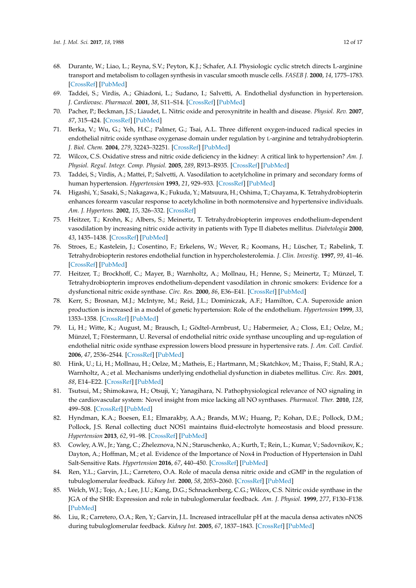- <span id="page-11-0"></span>68. Durante, W.; Liao, L.; Reyna, S.V.; Peyton, K.J.; Schafer, A.I. Physiologic cyclic stretch directs L-arginine transport and metabolism to collagen synthesis in vascular smooth muscle cells. *FASEB J.* **2000**, *14*, 1775–1783. [\[CrossRef\]](http://dx.doi.org/10.1096/fj.99-0960com) [\[PubMed\]](http://www.ncbi.nlm.nih.gov/pubmed/10973927)
- <span id="page-11-1"></span>69. Taddei, S.; Virdis, A.; Ghiadoni, L.; Sudano, I.; Salvetti, A. Endothelial dysfunction in hypertension. *J. Cardiovasc. Pharmacol.* **2001**, *38*, S11–S14. [\[CrossRef\]](http://dx.doi.org/10.1097/00005344-200111002-00004) [\[PubMed\]](http://www.ncbi.nlm.nih.gov/pubmed/11811368)
- <span id="page-11-2"></span>70. Pacher, P.; Beckman, J.S.; Liaudet, L. Nitric oxide and peroxynitrite in health and disease. *Physiol. Rev.* **2007**, *87*, 315–424. [\[CrossRef\]](http://dx.doi.org/10.1152/physrev.00029.2006) [\[PubMed\]](http://www.ncbi.nlm.nih.gov/pubmed/17237348)
- <span id="page-11-3"></span>71. Berka, V.; Wu, G.; Yeh, H.C.; Palmer, G.; Tsai, A.L. Three different oxygen-induced radical species in endothelial nitric oxide synthase oxygenase domain under regulation by L-arginine and tetrahydrobiopterin. *J. Biol. Chem.* **2004**, *279*, 32243–32251. [\[CrossRef\]](http://dx.doi.org/10.1074/jbc.M404044200) [\[PubMed\]](http://www.ncbi.nlm.nih.gov/pubmed/15166218)
- <span id="page-11-4"></span>72. Wilcox, C.S. Oxidative stress and nitric oxide deficiency in the kidney: A critical link to hypertension? *Am. J. Physiol. Regul. Integr. Comp. Physiol.* **2005**, *289*, R913–R935. [\[CrossRef\]](http://dx.doi.org/10.1152/ajpregu.00250.2005) [\[PubMed\]](http://www.ncbi.nlm.nih.gov/pubmed/16183628)
- <span id="page-11-5"></span>73. Taddei, S.; Virdis, A.; Mattei, P.; Salvetti, A. Vasodilation to acetylcholine in primary and secondary forms of human hypertension. *Hypertension* **1993**, *21*, 929–933. [\[CrossRef\]](http://dx.doi.org/10.1161/01.HYP.21.6.929) [\[PubMed\]](http://www.ncbi.nlm.nih.gov/pubmed/8505103)
- <span id="page-11-6"></span>74. Higashi, Y.; Sasaki, S.; Nakagawa, K.; Fukuda, Y.; Matsuura, H.; Oshima, T.; Chayama, K. Tetrahydrobiopterin enhances forearm vascular response to acetylcholine in both normotensive and hypertensive individuals. *Am. J. Hypertens.* **2002**, *15*, 326–332. [\[CrossRef\]](http://dx.doi.org/10.1016/S0895-7061(01)02317-2)
- <span id="page-11-7"></span>75. Heitzer, T.; Krohn, K.; Albers, S.; Meinertz, T. Tetrahydrobiopterin improves endothelium-dependent vasodilation by increasing nitric oxide activity in patients with Type II diabetes mellitus. *Diabetologia* **2000**, *43*, 1435–1438. [\[CrossRef\]](http://dx.doi.org/10.1007/s001250051551) [\[PubMed\]](http://www.ncbi.nlm.nih.gov/pubmed/11126415)
- <span id="page-11-8"></span>76. Stroes, E.; Kastelein, J.; Cosentino, F.; Erkelens, W.; Wever, R.; Koomans, H.; Lüscher, T.; Rabelink, T. Tetrahydrobiopterin restores endothelial function in hypercholesterolemia. *J. Clin. Investig.* **1997**, *99*, 41–46. [\[CrossRef\]](http://dx.doi.org/10.1172/JCI119131) [\[PubMed\]](http://www.ncbi.nlm.nih.gov/pubmed/9011574)
- <span id="page-11-9"></span>77. Heitzer, T.; Brockhoff, C.; Mayer, B.; Warnholtz, A.; Mollnau, H.; Henne, S.; Meinertz, T.; Münzel, T. Tetrahydrobiopterin improves endothelium-dependent vasodilation in chronic smokers: Evidence for a dysfunctional nitric oxide synthase. *Circ. Res.* **2000**, *86*, E36–E41. [\[CrossRef\]](http://dx.doi.org/10.1161/01.RES.86.2.e36) [\[PubMed\]](http://www.ncbi.nlm.nih.gov/pubmed/10666424)
- <span id="page-11-10"></span>78. Kerr, S.; Brosnan, M.J.; McIntyre, M.; Reid, J.L.; Dominiczak, A.F.; Hamilton, C.A. Superoxide anion production is increased in a model of genetic hypertension: Role of the endothelium. *Hypertension* **1999**, *33*, 1353–1358. [\[CrossRef\]](http://dx.doi.org/10.1161/01.HYP.33.6.1353) [\[PubMed\]](http://www.ncbi.nlm.nih.gov/pubmed/10373215)
- <span id="page-11-11"></span>79. Li, H.; Witte, K.; August, M.; Brausch, I.; Gödtel-Armbrust, U.; Habermeier, A.; Closs, E.I.; Oelze, M.; Münzel, T.; Förstermann, U. Reversal of endothelial nitric oxide synthase uncoupling and up-regulation of endothelial nitric oxide synthase expression lowers blood pressure in hypertensive rats. *J. Am. Coll. Cardiol.* **2006**, *47*, 2536–2544. [\[CrossRef\]](http://dx.doi.org/10.1016/j.jacc.2006.01.071) [\[PubMed\]](http://www.ncbi.nlm.nih.gov/pubmed/16781385)
- <span id="page-11-12"></span>80. Hink, U.; Li, H.; Mollnau, H.; Oelze, M.; Matheis, E.; Hartmann, M.; Skatchkov, M.; Thaiss, F.; Stahl, R.A.; Warnholtz, A.; et al. Mechanisms underlying endothelial dysfunction in diabetes mellitus. *Circ. Res.* **2001**, *88*, E14–E22. [\[CrossRef\]](http://dx.doi.org/10.1161/01.RES.88.2.e14) [\[PubMed\]](http://www.ncbi.nlm.nih.gov/pubmed/11157681)
- <span id="page-11-13"></span>81. Tsutsui, M.; Shimokawa, H.; Otsuji, Y.; Yanagihara, N. Pathophysiological relevance of NO signaling in the cardiovascular system: Novel insight from mice lacking all NO synthases. *Pharmacol. Ther.* **2010**, *128*, 499–508. [\[CrossRef\]](http://dx.doi.org/10.1016/j.pharmthera.2010.08.010) [\[PubMed\]](http://www.ncbi.nlm.nih.gov/pubmed/20826180)
- <span id="page-11-14"></span>82. Hyndman, K.A.; Boesen, E.I.; Elmarakby, A.A.; Brands, M.W.; Huang, P.; Kohan, D.E.; Pollock, D.M.; Pollock, J.S. Renal collecting duct NOS1 maintains fluid-electrolyte homeostasis and blood pressure. *Hypertension* **2013**, *62*, 91–98. [\[CrossRef\]](http://dx.doi.org/10.1161/HYPERTENSIONAHA.113.01291) [\[PubMed\]](http://www.ncbi.nlm.nih.gov/pubmed/23608660)
- <span id="page-11-15"></span>83. Cowley, A.W., Jr.; Yang, C.; Zheleznova, N.N.; Staruschenko, A.; Kurth, T.; Rein, L.; Kumar, V.; Sadovnikov, K.; Dayton, A.; Hoffman, M.; et al. Evidence of the Importance of Nox4 in Production of Hypertension in Dahl Salt-Sensitive Rats. *Hypertension* **2016**, *67*, 440–450. [\[CrossRef\]](http://dx.doi.org/10.1161/HYPERTENSIONAHA.115.06280) [\[PubMed\]](http://www.ncbi.nlm.nih.gov/pubmed/26644237)
- <span id="page-11-16"></span>84. Ren, Y.L.; Garvin, J.L.; Carretero, O.A. Role of macula densa nitric oxide and cGMP in the regulation of tubuloglomerular feedback. *Kidney Int.* **2000**, *58*, 2053–2060. [\[CrossRef\]](http://dx.doi.org/10.1111/j.1523-1755.2000.00377.x) [\[PubMed\]](http://www.ncbi.nlm.nih.gov/pubmed/11044225)
- 85. Welch, W.J.; Tojo, A.; Lee, J.U.; Kang, D.G.; Schnackenberg, C.G.; Wilcox, C.S. Nitric oxide synthase in the JGA of the SHR: Expression and role in tubuloglomerular feedback. *Am. J. Physiol.* **1999**, *277*, F130–F138. [\[PubMed\]](http://www.ncbi.nlm.nih.gov/pubmed/10409306)
- <span id="page-11-17"></span>86. Liu, R.; Carretero, O.A.; Ren, Y.; Garvin, J.L. Increased intracellular pH at the macula densa activates nNOS during tubuloglomerular feedback. *Kidney Int.* **2005**, *67*, 1837–1843. [\[CrossRef\]](http://dx.doi.org/10.1111/j.1523-1755.2005.00282.x) [\[PubMed\]](http://www.ncbi.nlm.nih.gov/pubmed/15840031)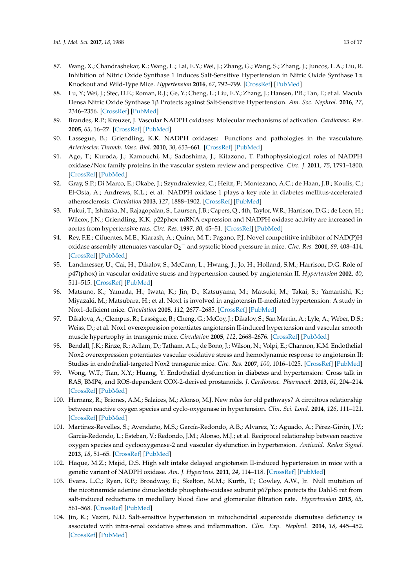- <span id="page-12-0"></span>87. Wang, X.; Chandrashekar, K.; Wang, L.; Lai, E.Y.; Wei, J.; Zhang, G.; Wang, S.; Zhang, J.; Juncos, L.A.; Liu, R. Inhibition of Nitric Oxide Synthase 1 Induces Salt-Sensitive Hypertension in Nitric Oxide Synthase 1α Knockout and Wild-Type Mice. *Hypertension* **2016**, *67*, 792–799. [\[CrossRef\]](http://dx.doi.org/10.1161/HYPERTENSIONAHA.115.07032) [\[PubMed\]](http://www.ncbi.nlm.nih.gov/pubmed/26883268)
- <span id="page-12-1"></span>88. Lu, Y.; Wei, J.; Stec, D.E.; Roman, R.J.; Ge, Y.; Cheng, L.; Liu, E.Y.; Zhang, J.; Hansen, P.B.; Fan, F.; et al. Macula Densa Nitric Oxide Synthase 1β Protects against Salt-Sensitive Hypertension. *Am. Soc. Nephrol.* **2016**, *27*, 2346–2356. [\[CrossRef\]](http://dx.doi.org/10.1681/ASN.2015050515) [\[PubMed\]](http://www.ncbi.nlm.nih.gov/pubmed/26647426)
- <span id="page-12-2"></span>89. Brandes, R.P.; Kreuzer, J. Vascular NADPH oxidases: Molecular mechanisms of activation. *Cardiovasc. Res.* **2005**, *65*, 16–27. [\[CrossRef\]](http://dx.doi.org/10.1016/j.cardiores.2004.08.007) [\[PubMed\]](http://www.ncbi.nlm.nih.gov/pubmed/15621030)
- <span id="page-12-3"></span>90. Lassegue, B.; Griendling, K.K. NADPH oxidases: Functions and pathologies in the vasculature. *Arterioscler. Thromb. Vasc. Biol.* **2010**, *30*, 653–661. [\[CrossRef\]](http://dx.doi.org/10.1161/ATVBAHA.108.181610) [\[PubMed\]](http://www.ncbi.nlm.nih.gov/pubmed/19910640)
- 91. Ago, T.; Kuroda, J.; Kamouchi, M.; Sadoshima, J.; Kitazono, T. Pathophysiological roles of NADPH oxidase/Nox family proteins in the vascular system review and perspective. *Circ. J.* **2011**, *75*, 1791–1800. [\[CrossRef\]](http://dx.doi.org/10.1253/circj.CJ-11-0388) [\[PubMed\]](http://www.ncbi.nlm.nih.gov/pubmed/21673456)
- <span id="page-12-4"></span>92. Gray, S.P.; Di Marco, E.; Okabe, J.; Szyndralewiez, C.; Heitz, F.; Montezano, A.C.; de Haan, J.B.; Koulis, C.; El-Osta, A.; Andrews, K.L.; et al. NADPH oxidase 1 plays a key role in diabetes mellitus-accelerated atherosclerosis. *Circulation* **2013**, *127*, 1888–1902. [\[CrossRef\]](http://dx.doi.org/10.1161/CIRCULATIONAHA.112.132159) [\[PubMed\]](http://www.ncbi.nlm.nih.gov/pubmed/23564668)
- <span id="page-12-5"></span>93. Fukui, T.; Ishizaka, N.; Rajagopalan, S.; Laursen, J.B.; Capers, Q., 4th; Taylor, W.R.; Harrison, D.G.; de Leon, H.; Wilcox, J.N.; Griendling, K.K. p22phox mRNA expression and NADPH oxidase activity are increased in aortas from hypertensive rats. *Circ. Res.* **1997**, *80*, 45–51. [\[CrossRef\]](http://dx.doi.org/10.1161/01.RES.80.1.45) [\[PubMed\]](http://www.ncbi.nlm.nih.gov/pubmed/8978321)
- <span id="page-12-6"></span>94. Rey, F.E.; Cifuentes, M.E.; Kiarash, A.; Quinn, M.T.; Pagano, P.J. Novel competitive inhibitor of NAD(P)H oxidase assembly attenuates vascular O<sup>2</sup> <sup>−</sup> and systolic blood pressure in mice. *Circ. Res.* **2001**, *89*, 408–414. [\[CrossRef\]](http://dx.doi.org/10.1161/hh1701.096037) [\[PubMed\]](http://www.ncbi.nlm.nih.gov/pubmed/11532901)
- <span id="page-12-7"></span>95. Landmesser, U.; Cai, H.; Dikalov, S.; McCann, L.; Hwang, J.; Jo, H.; Holland, S.M.; Harrison, D.G. Role of p47(phox) in vascular oxidative stress and hypertension caused by angiotensin II. *Hypertension* **2002**, *40*, 511–515. [\[CrossRef\]](http://dx.doi.org/10.1161/01.HYP.0000032100.23772.98) [\[PubMed\]](http://www.ncbi.nlm.nih.gov/pubmed/12364355)
- <span id="page-12-8"></span>96. Matsuno, K.; Yamada, H.; Iwata, K.; Jin, D.; Katsuyama, M.; Matsuki, M.; Takai, S.; Yamanishi, K.; Miyazaki, M.; Matsubara, H.; et al. Nox1 is involved in angiotensin II-mediated hypertension: A study in Nox1-deficient mice. *Circulation* **2005**, *112*, 2677–2685. [\[CrossRef\]](http://dx.doi.org/10.1161/CIRCULATIONAHA.105.573709) [\[PubMed\]](http://www.ncbi.nlm.nih.gov/pubmed/16246966)
- <span id="page-12-9"></span>97. Dikalova, A.; Clempus, R.; Lassègue, B.; Cheng, G.; McCoy, J.; Dikalov, S.; San Martin, A.; Lyle, A.; Weber, D.S.; Weiss, D.; et al. Nox1 overexpression potentiates angiotensin II-induced hypertension and vascular smooth muscle hypertrophy in transgenic mice. *Circulation* **2005**, *112*, 2668–2676. [\[CrossRef\]](http://dx.doi.org/10.1161/CIRCULATIONAHA.105.538934) [\[PubMed\]](http://www.ncbi.nlm.nih.gov/pubmed/16230485)
- <span id="page-12-10"></span>98. Bendall, J.K.; Rinze, R.; Adlam, D.; Tatham, A.L.; de Bono, J.; Wilson, N.; Volpi, E.; Channon, K.M. Endothelial Nox2 overexpression potentiates vascular oxidative stress and hemodynamic response to angiotensin II: Studies in endothelial-targeted Nox2 transgenic mice. *Circ. Res.* **2007**, *100*, 1016–1025. [\[CrossRef\]](http://dx.doi.org/10.1161/01.RES.0000263381.83835.7b) [\[PubMed\]](http://www.ncbi.nlm.nih.gov/pubmed/17363703)
- <span id="page-12-11"></span>99. Wong, W.T.; Tian, X.Y.; Huang, Y. Endothelial dysfunction in diabetes and hypertension: Cross talk in RAS, BMP4, and ROS-dependent COX-2-derived prostanoids. *J. Cardiovasc. Pharmacol.* **2013**, *61*, 204–214. [\[CrossRef\]](http://dx.doi.org/10.1097/FJC.0b013e31827fe46e) [\[PubMed\]](http://www.ncbi.nlm.nih.gov/pubmed/23232839)
- <span id="page-12-12"></span>100. Hernanz, R.; Briones, A.M.; Salaices, M.; Alonso, M.J. New roles for old pathways? A circuitous relationship between reactive oxygen species and cyclo-oxygenase in hypertension. *Clin. Sci. Lond.* **2014**, *126*, 111–121. [\[CrossRef\]](http://dx.doi.org/10.1042/CS20120651) [\[PubMed\]](http://www.ncbi.nlm.nih.gov/pubmed/24059588)
- <span id="page-12-13"></span>101. Martínez-Revelles, S.; Avendaño, M.S.; García-Redondo, A.B.; Alvarez, Y.; Aguado, A.; Pérez-Girón, J.V.; García-Redondo, L.; Esteban, V.; Redondo, J.M.; Alonso, M.J.; et al. Reciprocal relationship between reactive oxygen species and cyclooxygenase-2 and vascular dysfunction in hypertension. *Antioxid. Redox Signal.* **2013**, *18*, 51–65. [\[CrossRef\]](http://dx.doi.org/10.1089/ars.2011.4335) [\[PubMed\]](http://www.ncbi.nlm.nih.gov/pubmed/22671943)
- <span id="page-12-14"></span>102. Haque, M.Z.; Majid, D.S. High salt intake delayed angiotensin II-induced hypertension in mice with a genetic variant of NADPH oxidase. *Am. J. Hypertens.* **2011**, *24*, 114–118. [\[CrossRef\]](http://dx.doi.org/10.1038/ajh.2010.173) [\[PubMed\]](http://www.ncbi.nlm.nih.gov/pubmed/20706193)
- <span id="page-12-15"></span>103. Evans, L.C.; Ryan, R.P.; Broadway, E.; Skelton, M.M.; Kurth, T.; Cowley, A.W., Jr. Null mutation of the nicotinamide adenine dinucleotide phosphate-oxidase subunit p67phox protects the Dahl-S rat from salt-induced reductions in medullary blood flow and glomerular filtration rate. *Hypertension* **2015**, *65*, 561–568. [\[CrossRef\]](http://dx.doi.org/10.1161/HYPERTENSIONAHA.114.04468) [\[PubMed\]](http://www.ncbi.nlm.nih.gov/pubmed/25489057)
- <span id="page-12-16"></span>104. Jin, K.; Vaziri, N.D. Salt-sensitive hypertension in mitochondrial superoxide dismutase deficiency is associated with intra-renal oxidative stress and inflammation. *Clin. Exp. Nephrol.* **2014**, *18*, 445–452. [\[CrossRef\]](http://dx.doi.org/10.1007/s10157-013-0851-3) [\[PubMed\]](http://www.ncbi.nlm.nih.gov/pubmed/23933891)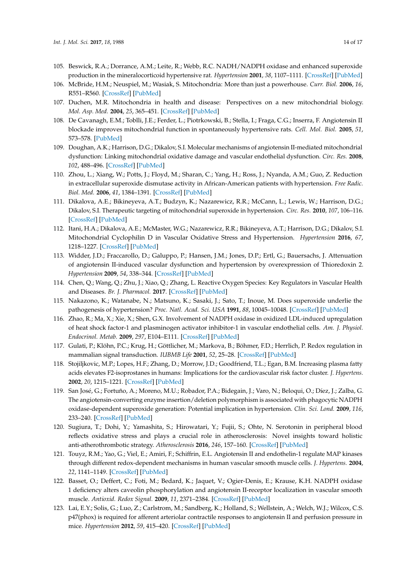- <span id="page-13-0"></span>105. Beswick, R.A.; Dorrance, A.M.; Leite, R.; Webb, R.C. NADH/NADPH oxidase and enhanced superoxide production in the mineralocorticoid hypertensive rat. *Hypertension* **2001**, *38*, 1107–1111. [\[CrossRef\]](http://dx.doi.org/10.1161/hy1101.093423) [\[PubMed\]](http://www.ncbi.nlm.nih.gov/pubmed/11711506)
- <span id="page-13-1"></span>106. McBride, H.M.; Neuspiel, M.; Wasiak, S. Mitochondria: More than just a powerhouse. *Curr. Biol.* **2006**, *16*, R551–R560. [\[CrossRef\]](http://dx.doi.org/10.1016/j.cub.2006.06.054) [\[PubMed\]](http://www.ncbi.nlm.nih.gov/pubmed/16860735)
- <span id="page-13-2"></span>107. Duchen, M.R. Mitochondria in health and disease: Perspectives on a new mitochondrial biology. *Mol. Asp. Med.* **2004**, *25*, 365–451. [\[CrossRef\]](http://dx.doi.org/10.1016/j.mam.2004.03.001) [\[PubMed\]](http://www.ncbi.nlm.nih.gov/pubmed/15302203)
- <span id="page-13-3"></span>108. De Cavanagh, E.M.; Toblli, J.E.; Ferder, L.; Piotrkowski, B.; Stella, I.; Fraga, C.G.; Inserra, F. Angiotensin II blockade improves mitochondrial function in spontaneously hypertensive rats. *Cell. Mol. Biol.* **2005**, *51*, 573–578. [\[PubMed\]](http://www.ncbi.nlm.nih.gov/pubmed/16309582)
- <span id="page-13-4"></span>109. Doughan, A.K.; Harrison, D.G.; Dikalov, S.I. Molecular mechanisms of angiotensin II-mediated mitochondrial dysfunction: Linking mitochondrial oxidative damage and vascular endothelial dysfunction. *Circ. Res.* **2008**, *102*, 488–496. [\[CrossRef\]](http://dx.doi.org/10.1161/CIRCRESAHA.107.162800) [\[PubMed\]](http://www.ncbi.nlm.nih.gov/pubmed/18096818)
- <span id="page-13-5"></span>110. Zhou, L.; Xiang, W.; Potts, J.; Floyd, M.; Sharan, C.; Yang, H.; Ross, J.; Nyanda, A.M.; Guo, Z. Reduction in extracellular superoxide dismutase activity in African-American patients with hypertension. *Free Radic. Biol. Med.* **2006**, *41*, 1384–1391. [\[CrossRef\]](http://dx.doi.org/10.1016/j.freeradbiomed.2006.07.019) [\[PubMed\]](http://www.ncbi.nlm.nih.gov/pubmed/17023265)
- <span id="page-13-6"></span>111. Dikalova, A.E.; Bikineyeva, A.T.; Budzyn, K.; Nazarewicz, R.R.; McCann, L.; Lewis, W.; Harrison, D.G.; Dikalov, S.I. Therapeutic targeting of mitochondrial superoxide in hypertension. *Circ. Res.* **2010**, *107*, 106–116. [\[CrossRef\]](http://dx.doi.org/10.1161/CIRCRESAHA.109.214601) [\[PubMed\]](http://www.ncbi.nlm.nih.gov/pubmed/20448215)
- <span id="page-13-7"></span>112. Itani, H.A.; Dikalova, A.E.; McMaster, W.G.; Nazarewicz, R.R.; Bikineyeva, A.T.; Harrison, D.G.; Dikalov, S.I. Mitochondrial Cyclophilin D in Vascular Oxidative Stress and Hypertension. *Hypertension* **2016**, *67*, 1218–1227. [\[CrossRef\]](http://dx.doi.org/10.1161/HYPERTENSIONAHA.115.07085) [\[PubMed\]](http://www.ncbi.nlm.nih.gov/pubmed/27067720)
- <span id="page-13-8"></span>113. Widder, J.D.; Fraccarollo, D.; Galuppo, P.; Hansen, J.M.; Jones, D.P.; Ertl, G.; Bauersachs, J. Attenuation of angiotensin II-induced vascular dysfunction and hypertension by overexpression of Thioredoxin 2. *Hypertension* **2009**, *54*, 338–344. [\[CrossRef\]](http://dx.doi.org/10.1161/HYPERTENSIONAHA.108.127928) [\[PubMed\]](http://www.ncbi.nlm.nih.gov/pubmed/19506101)
- <span id="page-13-9"></span>114. Chen, Q.; Wang, Q.; Zhu, J.; Xiao, Q.; Zhang, L. Reactive Oxygen Species: Key Regulators in Vascular Health and Diseases. *Br. J. Pharmacol.* **2017**. [\[CrossRef\]](http://dx.doi.org/10.1111/bph.13828) [\[PubMed\]](http://www.ncbi.nlm.nih.gov/pubmed/28430357)
- <span id="page-13-10"></span>115. Nakazono, K.; Watanabe, N.; Matsuno, K.; Sasaki, J.; Sato, T.; Inoue, M. Does superoxide underlie the pathogenesis of hypertension? *Proc. Natl. Acad. Sci. USA* **1991**, *88*, 10045–10048. [\[CrossRef\]](http://dx.doi.org/10.1073/pnas.88.22.10045) [\[PubMed\]](http://www.ncbi.nlm.nih.gov/pubmed/1658794)
- <span id="page-13-11"></span>116. Zhao, R.; Ma, X.; Xie, X.; Shen, G.X. Involvement of NADPH oxidase in oxidized LDL-induced upregulation of heat shock factor-1 and plasminogen activator inhibitor-1 in vascular endothelial cells. *Am. J. Physiol. Endocrinol. Metab.* **2009**, *297*, E104–E111. [\[CrossRef\]](http://dx.doi.org/10.1152/ajpendo.91023.2008) [\[PubMed\]](http://www.ncbi.nlm.nih.gov/pubmed/19401454)
- <span id="page-13-12"></span>117. Gulati, P.; Klöhn, P.C.; Krug, H.; Göttlicher, M.; Markova, B.; Böhmer, F.D.; Herrlich, P. Redox regulation in mammalian signal transduction. *IUBMB Life* **2001**, *52*, 25–28. [\[CrossRef\]](http://dx.doi.org/10.1080/15216540252774720) [\[PubMed\]](http://www.ncbi.nlm.nih.gov/pubmed/11795588)
- <span id="page-13-13"></span>118. Stojiljkovic, M.P.; Lopes, H.F.; Zhang, D.; Morrow, J.D.; Goodfriend, T.L.; Egan, B.M. Increasing plasma fatty acids elevates F2-isoprostanes in humans: Implications for the cardiovascular risk factor cluster. *J. Hypertens.* **2002**, *20*, 1215–1221. [\[CrossRef\]](http://dx.doi.org/10.1097/00004872-200206000-00036) [\[PubMed\]](http://www.ncbi.nlm.nih.gov/pubmed/12023694)
- <span id="page-13-18"></span>119. San José, G.; Fortuño, A.; Moreno, M.U.; Robador, P.A.; Bidegain, J.; Varo, N.; Beloqui, O.; Díez, J.; Zalba, G. The angiotensin-converting enzyme insertion/deletion polymorphism is associated with phagocytic NADPH oxidase-dependent superoxide generation: Potential implication in hypertension. *Clin. Sci. Lond.* **2009**, *116*, 233–240. [\[CrossRef\]](http://dx.doi.org/10.1042/CS20080057) [\[PubMed\]](http://www.ncbi.nlm.nih.gov/pubmed/18647135)
- <span id="page-13-14"></span>120. Sugiura, T.; Dohi, Y.; Yamashita, S.; Hirowatari, Y.; Fujii, S.; Ohte, N. Serotonin in peripheral blood reflects oxidative stress and plays a crucial role in atherosclerosis: Novel insights toward holistic anti-atherothrombotic strategy. *Atherosclerosis* **2016**, *246*, 157–160. [\[CrossRef\]](http://dx.doi.org/10.1016/j.atherosclerosis.2016.01.015) [\[PubMed\]](http://www.ncbi.nlm.nih.gov/pubmed/26784327)
- <span id="page-13-15"></span>121. Touyz, R.M.; Yao, G.; Viel, E.; Amiri, F.; Schiffrin, E.L. Angiotensin II and endothelin-1 regulate MAP kinases through different redox-dependent mechanisms in human vascular smooth muscle cells. *J. Hypertens.* **2004**, *22*, 1141–1149. [\[CrossRef\]](http://dx.doi.org/10.1097/00004872-200406000-00015) [\[PubMed\]](http://www.ncbi.nlm.nih.gov/pubmed/15167449)
- <span id="page-13-16"></span>122. Basset, O.; Deffert, C.; Foti, M.; Bedard, K.; Jaquet, V.; Ogier-Denis, E.; Krause, K.H. NADPH oxidase 1 deficiency alters caveolin phosphorylation and angiotensin II-receptor localization in vascular smooth muscle. *Antioxid. Redox Signal.* **2009**, *11*, 2371–2384. [\[CrossRef\]](http://dx.doi.org/10.1089/ars.2009.2584) [\[PubMed\]](http://www.ncbi.nlm.nih.gov/pubmed/19309260)
- <span id="page-13-17"></span>123. Lai, E.Y.; Solis, G.; Luo, Z.; Carlstrom, M.; Sandberg, K.; Holland, S.; Wellstein, A.; Welch, W.J.; Wilcox, C.S. p47(phox) is required for afferent arteriolar contractile responses to angiotensin II and perfusion pressure in mice. *Hypertension* **2012**, *59*, 415–420. [\[CrossRef\]](http://dx.doi.org/10.1161/HYPERTENSIONAHA.111.184291) [\[PubMed\]](http://www.ncbi.nlm.nih.gov/pubmed/22184329)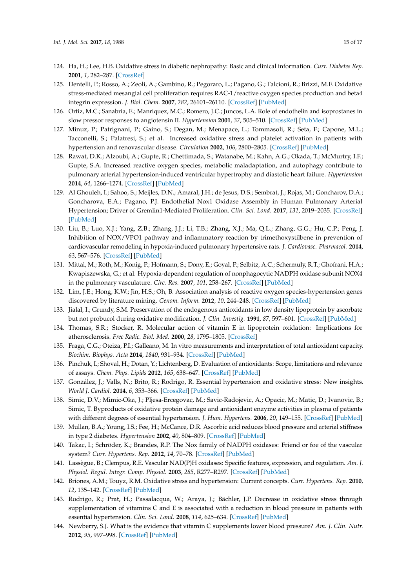- <span id="page-14-0"></span>124. Ha, H.; Lee, H.B. Oxidative stress in diabetic nephropathy: Basic and clinical information. *Curr. Diabetes Rep.* **2001**, *1*, 282–287. [\[CrossRef\]](http://dx.doi.org/10.1007/s11892-001-0047-1)
- <span id="page-14-1"></span>125. Dentelli, P.; Rosso, A.; Zeoli, A.; Gambino, R.; Pegoraro, L.; Pagano, G.; Falcioni, R.; Brizzi, M.F. Oxidative stress-mediated mesangial cell proliferation requires RAC-1/reactive oxygen species production and beta4 integrin expression. *J. Biol. Chem.* **2007**, *282*, 26101–26110. [\[CrossRef\]](http://dx.doi.org/10.1074/jbc.M703132200) [\[PubMed\]](http://www.ncbi.nlm.nih.gov/pubmed/17604276)
- <span id="page-14-2"></span>126. Ortiz, M.C.; Sanabria, E.; Manriquez, M.C.; Romero, J.C.; Juncos, L.A. Role of endothelin and isoprostanes in slow pressor responses to angiotensin II. *Hypertension* **2001**, *37*, 505–510. [\[CrossRef\]](http://dx.doi.org/10.1161/01.HYP.37.2.505) [\[PubMed\]](http://www.ncbi.nlm.nih.gov/pubmed/11230326)
- <span id="page-14-3"></span>127. Minuz, P.; Patrignani, P.; Gaino, S.; Degan, M.; Menapace, L.; Tommasoli, R.; Seta, F.; Capone, M.L.; Tacconelli, S.; Palatresi, S.; et al. Increased oxidative stress and platelet activation in patients with hypertension and renovascular disease. *Circulation* **2002**, *106*, 2800–2805. [\[CrossRef\]](http://dx.doi.org/10.1161/01.CIR.0000039528.49161.E9) [\[PubMed\]](http://www.ncbi.nlm.nih.gov/pubmed/12451006)
- <span id="page-14-4"></span>128. Rawat, D.K.; Alzoubi, A.; Gupte, R.; Chettimada, S.; Watanabe, M.; Kahn, A.G.; Okada, T.; McMurtry, I.F.; Gupte, S.A. Increased reactive oxygen species, metabolic maladaptation, and autophagy contribute to pulmonary arterial hypertension-induced ventricular hypertrophy and diastolic heart failure. *Hypertension* **2014**, *64*, 1266–1274. [\[CrossRef\]](http://dx.doi.org/10.1161/HYPERTENSIONAHA.114.03261) [\[PubMed\]](http://www.ncbi.nlm.nih.gov/pubmed/25267798)
- <span id="page-14-5"></span>129. Al Ghouleh, I.; Sahoo, S.; Meijles, D.N.; Amaral, J.H.; de Jesus, D.S.; Sembrat, J.; Rojas, M.; Goncharov, D.A.; Goncharova, E.A.; Pagano, P.J. Endothelial Nox1 Oxidase Assembly in Human Pulmonary Arterial Hypertension; Driver of Gremlin1-Mediated Proliferation. *Clin. Sci. Lond.* **2017**, *131*, 2019–2035. [\[CrossRef\]](http://dx.doi.org/10.1042/CS20160812) [\[PubMed\]](http://www.ncbi.nlm.nih.gov/pubmed/28522681)
- <span id="page-14-6"></span>130. Liu, B.; Luo, X.J.; Yang, Z.B.; Zhang, J.J.; Li, T.B.; Zhang, X.J.; Ma, Q.L.; Zhang, G.G.; Hu, C.P.; Peng, J. Inhibition of NOX/VPO1 pathway and inflammatory reaction by trimethoxystilbene in prevention of cardiovascular remodeling in hypoxia-induced pulmonary hypertensive rats. *J. Cardiovasc. Pharmacol.* **2014**, *63*, 567–576. [\[CrossRef\]](http://dx.doi.org/10.1097/FJC.0000000000000082) [\[PubMed\]](http://www.ncbi.nlm.nih.gov/pubmed/24492474)
- <span id="page-14-7"></span>131. Mittal, M.; Roth, M.; Konig, P.; Hofmann, S.; Dony, E.; Goyal, P.; Selbitz, A.C.; Schermuly, R.T.; Ghofrani, H.A.; Kwapiszewska, G.; et al. Hypoxia-dependent regulation of nonphagocytic NADPH oxidase subunit NOX4 in the pulmonary vasculature. *Circ. Res.* **2007**, *101*, 258–267. [\[CrossRef\]](http://dx.doi.org/10.1161/CIRCRESAHA.107.148015) [\[PubMed\]](http://www.ncbi.nlm.nih.gov/pubmed/17585072)
- <span id="page-14-8"></span>132. Lim, J.E.; Hong, K.W.; Jin, H.S.; Oh, B. Association analysis of reactive oxygen species-hypertension genes discovered by literature mining. *Genom. Inform.* **2012**, *10*, 244–248. [\[CrossRef\]](http://dx.doi.org/10.5808/GI.2012.10.4.244) [\[PubMed\]](http://www.ncbi.nlm.nih.gov/pubmed/23346037)
- <span id="page-14-9"></span>133. Jialal, I.; Grundy, S.M. Preservation of the endogenous antioxidants in low density lipoprotein by ascorbate but not probucol during oxidative modification. *J. Clin. Investig.* **1991**, *87*, 597–601. [\[CrossRef\]](http://dx.doi.org/10.1172/JCI115035) [\[PubMed\]](http://www.ncbi.nlm.nih.gov/pubmed/1991843)
- <span id="page-14-10"></span>134. Thomas, S.R.; Stocker, R. Molecular action of vitamin E in lipoprotein oxidation: Implications for atherosclerosis. *Free Radic. Biol. Med.* **2000**, *28*, 1795–1805. [\[CrossRef\]](http://dx.doi.org/10.1016/S0891-5849(00)00236-7)
- <span id="page-14-11"></span>135. Fraga, C.G.; Oteiza, P.I.; Galleano, M. In vitro measurements and interpretation of total antioxidant capacity. *Biochim. Biophys. Acta* **2014**, *1840*, 931–934. [\[CrossRef\]](http://dx.doi.org/10.1016/j.bbagen.2013.06.030) [\[PubMed\]](http://www.ncbi.nlm.nih.gov/pubmed/23830861)
- 136. Pinchuk, I.; Shoval, H.; Dotan, Y.; Lichtenberg, D. Evaluation of antioxidants: Scope, limitations and relevance of assays. *Chem. Phys. Lipids* **2012**, *165*, 638–647. [\[CrossRef\]](http://dx.doi.org/10.1016/j.chemphyslip.2012.05.003) [\[PubMed\]](http://www.ncbi.nlm.nih.gov/pubmed/22721987)
- <span id="page-14-12"></span>137. González, J.; Valls, N.; Brito, R.; Rodrigo, R. Essential hypertension and oxidative stress: New insights. *World J. Cardiol.* **2014**, *6*, 353–366. [\[CrossRef\]](http://dx.doi.org/10.4330/wjc.v6.i6.353) [\[PubMed\]](http://www.ncbi.nlm.nih.gov/pubmed/24976907)
- 138. Simic, D.V.; Mimic-Oka, J.; Pljesa-Ercegovac, M.; Savic-Radojevic, A.; Opacic, M.; Matic, D.; Ivanovic, B.; Simic, T. Byproducts of oxidative protein damage and antioxidant enzyme activities in plasma of patients with different degrees of essential hypertension. *J. Hum. Hypertens.* **2006**, *20*, 149–155. [\[CrossRef\]](http://dx.doi.org/10.1038/sj.jhh.1001945) [\[PubMed\]](http://www.ncbi.nlm.nih.gov/pubmed/16341053)
- 139. Mullan, B.A.; Young, I.S.; Fee, H.; McCance, D.R. Ascorbic acid reduces blood pressure and arterial stiffness in type 2 diabetes. *Hypertension* **2002**, *40*, 804–809. [\[CrossRef\]](http://dx.doi.org/10.1161/01.HYP.0000039961.13718.00) [\[PubMed\]](http://www.ncbi.nlm.nih.gov/pubmed/12468561)
- <span id="page-14-13"></span>140. Takac, I.; Schröder, K.; Brandes, R.P. The Nox family of NADPH oxidases: Friend or foe of the vascular system? *Curr. Hypertens. Rep.* **2012**, *14*, 70–78. [\[CrossRef\]](http://dx.doi.org/10.1007/s11906-011-0238-3) [\[PubMed\]](http://www.ncbi.nlm.nih.gov/pubmed/22071588)
- <span id="page-14-14"></span>141. Lassègue, B.; Clempus, R.E. Vascular NAD(P)H oxidases: Specific features, expression, and regulation. *Am. J. Physiol. Regul. Integr. Comp. Physiol.* **2003**, *285*, R277–R297. [\[CrossRef\]](http://dx.doi.org/10.1152/ajpregu.00758.2002) [\[PubMed\]](http://www.ncbi.nlm.nih.gov/pubmed/12855411)
- <span id="page-14-15"></span>142. Briones, A.M.; Touyz, R.M. Oxidative stress and hypertension: Current concepts. *Curr. Hypertens. Rep.* **2010**, *12*, 135–142. [\[CrossRef\]](http://dx.doi.org/10.1007/s11906-010-0100-z) [\[PubMed\]](http://www.ncbi.nlm.nih.gov/pubmed/20424957)
- <span id="page-14-16"></span>143. Rodrigo, R.; Prat, H.; Passalacqua, W.; Araya, J.; Bächler, J.P. Decrease in oxidative stress through supplementation of vitamins C and E is associated with a reduction in blood pressure in patients with essential hypertension. *Clin. Sci. Lond.* **2008**, *114*, 625–634. [\[CrossRef\]](http://dx.doi.org/10.1042/CS20070343) [\[PubMed\]](http://www.ncbi.nlm.nih.gov/pubmed/17999638)
- <span id="page-14-17"></span>144. Newberry, S.J. What is the evidence that vitamin C supplements lower blood pressure? *Am. J. Clin. Nutr.* **2012**, *95*, 997–998. [\[CrossRef\]](http://dx.doi.org/10.3945/ajcn.112.037663) [\[PubMed\]](http://www.ncbi.nlm.nih.gov/pubmed/22492375)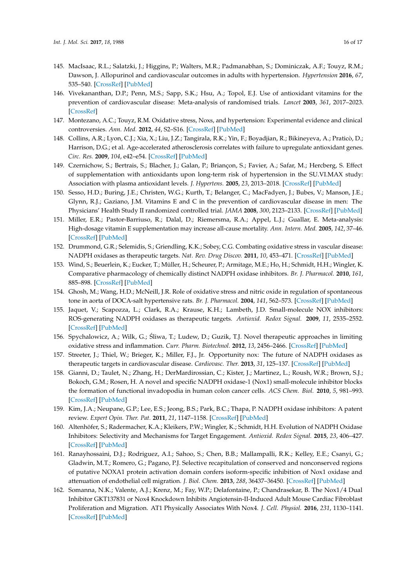- <span id="page-15-0"></span>145. MacIsaac, R.L.; Salatzki, J.; Higgins, P.; Walters, M.R.; Padmanabhan, S.; Dominiczak, A.F.; Touyz, R.M.; Dawson, J. Allopurinol and cardiovascular outcomes in adults with hypertension. *Hypertension* **2016**, *67*, 535–540. [\[CrossRef\]](http://dx.doi.org/10.1161/HYPERTENSIONAHA.115.06344) [\[PubMed\]](http://www.ncbi.nlm.nih.gov/pubmed/26865199)
- <span id="page-15-1"></span>146. Vivekananthan, D.P.; Penn, M.S.; Sapp, S.K.; Hsu, A.; Topol, E.J. Use of antioxidant vitamins for the prevention of cardiovascular disease: Meta-analysis of randomised trials. *Lancet* **2003**, *361*, 2017–2023. [\[CrossRef\]](http://dx.doi.org/10.1016/S0140-6736(03)13637-9)
- 147. Montezano, A.C.; Touyz, R.M. Oxidative stress, Noxs, and hypertension: Experimental evidence and clinical controversies. *Ann. Med.* **2012**, *44*, S2–S16. [\[CrossRef\]](http://dx.doi.org/10.3109/07853890.2011.653393) [\[PubMed\]](http://www.ncbi.nlm.nih.gov/pubmed/22713144)
- 148. Collins, A.R.; Lyon, C.J.; Xia, X.; Liu, J.Z.; Tangirala, R.K.; Yin, F.; Boyadjian, R.; Bikineyeva, A.; Praticò, D.; Harrison, D.G.; et al. Age-accelerated atherosclerosis correlates with failure to upregulate antioxidant genes. *Circ. Res.* **2009**, *104*, e42–e54. [\[CrossRef\]](http://dx.doi.org/10.1161/CIRCRESAHA.108.188771) [\[PubMed\]](http://www.ncbi.nlm.nih.gov/pubmed/19265038)
- 149. Czernichow, S.; Bertrais, S.; Blacher, J.; Galan, P.; Briançon, S.; Favier, A.; Safar, M.; Hercberg, S. Effect of supplementation with antioxidants upon long-term risk of hypertension in the SU.VI.MAX study: Association with plasma antioxidant levels. *J. Hypertens.* **2005**, *23*, 2013–2018. [\[CrossRef\]](http://dx.doi.org/10.1097/01.hjh.0000187259.94448.8a) [\[PubMed\]](http://www.ncbi.nlm.nih.gov/pubmed/16208143)
- <span id="page-15-2"></span>150. Sesso, H.D.; Buring, J.E.; Christen, W.G.; Kurth, T.; Belanger, C.; MacFadyen, J.; Bubes, V.; Manson, J.E.; Glynn, R.J.; Gaziano, J.M. Vitamins E and C in the prevention of cardiovascular disease in men: The Physicians' Health Study II randomized controlled trial. *JAMA* **2008**, *300*, 2123–2133. [\[CrossRef\]](http://dx.doi.org/10.1001/jama.2008.600) [\[PubMed\]](http://www.ncbi.nlm.nih.gov/pubmed/18997197)
- <span id="page-15-3"></span>151. Miller, E.R.; Pastor-Barriuso, R.; Dalal, D.; Riemersma, R.A.; Appel, L.J.; Guallar, E. Meta-analysis: High-dosage vitamin E supplementation may increase all-cause mortality. *Ann. Intern. Med.* **2005**, *142*, 37–46. [\[CrossRef\]](http://dx.doi.org/10.7326/0003-4819-142-1-200501040-00110) [\[PubMed\]](http://www.ncbi.nlm.nih.gov/pubmed/15537682)
- <span id="page-15-4"></span>152. Drummond, G.R.; Selemidis, S.; Griendling, K.K.; Sobey, C.G. Combating oxidative stress in vascular disease: NADPH oxidases as therapeutic targets. *Nat. Rev. Drug Discov.* **2011**, *10*, 453–471. [\[CrossRef\]](http://dx.doi.org/10.1038/nrd3403) [\[PubMed\]](http://www.ncbi.nlm.nih.gov/pubmed/21629295)
- <span id="page-15-5"></span>153. Wind, S.; Beuerlein, K.; Eucker, T.; Müller, H.; Scheurer, P.; Armitage, M.E.; Ho, H.; Schmidt, H.H.; Wingler, K. Comparative pharmacology of chemically distinct NADPH oxidase inhibitors. *Br. J. Pharmacol.* **2010**, *161*, 885–898. [\[CrossRef\]](http://dx.doi.org/10.1111/j.1476-5381.2010.00920.x) [\[PubMed\]](http://www.ncbi.nlm.nih.gov/pubmed/20860666)
- <span id="page-15-6"></span>154. Ghosh, M.; Wang, H.D.; McNeill, J.R. Role of oxidative stress and nitric oxide in regulation of spontaneous tone in aorta of DOCA-salt hypertensive rats. *Br. J. Pharmacol.* **2004**, *141*, 562–573. [\[CrossRef\]](http://dx.doi.org/10.1038/sj.bjp.0705557) [\[PubMed\]](http://www.ncbi.nlm.nih.gov/pubmed/14744820)
- <span id="page-15-7"></span>155. Jaquet, V.; Scapozza, L.; Clark, R.A.; Krause, K.H.; Lambeth, J.D. Small-molecule NOX inhibitors: ROS-generating NADPH oxidases as therapeutic targets. *Antioxid. Redox Signal.* **2009**, *11*, 2535–2552. [\[CrossRef\]](http://dx.doi.org/10.1089/ars.2009.2585) [\[PubMed\]](http://www.ncbi.nlm.nih.gov/pubmed/19309261)
- <span id="page-15-8"></span>156. Spychalowicz, A.; Wilk, G.; Sliwa, T.; Ludew, D.; Guzik, T.J. Novel therapeutic approaches in limiting ´ oxidative stress and inflammation. *Curr. Pharm. Biotechnol.* **2012**, *13*, 2456–2466. [\[CrossRef\]](http://dx.doi.org/10.2174/1389201011208062456) [\[PubMed\]](http://www.ncbi.nlm.nih.gov/pubmed/22280420)
- <span id="page-15-11"></span>157. Streeter, J.; Thiel, W.; Brieger, K.; Miller, F.J., Jr. Opportunity nox: The future of NADPH oxidases as therapeutic targets in cardiovascular disease. *Cardiovasc. Ther.* **2013**, *31*, 125–137. [\[CrossRef\]](http://dx.doi.org/10.1111/j.1755-5922.2011.00310.x) [\[PubMed\]](http://www.ncbi.nlm.nih.gov/pubmed/22280098)
- <span id="page-15-9"></span>158. Gianni, D.; Taulet, N.; Zhang, H.; DerMardirossian, C.; Kister, J.; Martinez, L.; Roush, W.R.; Brown, S.J.; Bokoch, G.M.; Rosen, H. A novel and specific NADPH oxidase-1 (Nox1) small-molecule inhibitor blocks the formation of functional invadopodia in human colon cancer cells. *ACS Chem. Biol.* **2010**, *5*, 981–993. [\[CrossRef\]](http://dx.doi.org/10.1021/cb100219n) [\[PubMed\]](http://www.ncbi.nlm.nih.gov/pubmed/20715845)
- <span id="page-15-10"></span>159. Kim, J.A.; Neupane, G.P.; Lee, E.S.; Jeong, B.S.; Park, B.C.; Thapa, P. NADPH oxidase inhibitors: A patent review. *Expert Opin. Ther. Pat.* **2011**, *21*, 1147–1158. [\[CrossRef\]](http://dx.doi.org/10.1517/13543776.2011.584870) [\[PubMed\]](http://www.ncbi.nlm.nih.gov/pubmed/21554154)
- 160. Altenhöfer, S.; Radermacher, K.A.; Kleikers, P.W.; Wingler, K.; Schmidt, H.H. Evolution of NADPH Oxidase Inhibitors: Selectivity and Mechanisms for Target Engagement. *Antioxid. Redox Signal.* **2015**, *23*, 406–427. [\[CrossRef\]](http://dx.doi.org/10.1089/ars.2013.5814) [\[PubMed\]](http://www.ncbi.nlm.nih.gov/pubmed/24383718)
- <span id="page-15-12"></span>161. Ranayhossaini, D.J.; Rodriguez, A.I.; Sahoo, S.; Chen, B.B.; Mallampalli, R.K.; Kelley, E.E.; Csanyi, G.; Gladwin, M.T.; Romero, G.; Pagano, P.J. Selective recapitulation of conserved and nonconserved regions of putative NOXA1 protein activation domain confers isoform-specific inhibition of Nox1 oxidase and attenuation of endothelial cell migration. *J. Biol. Chem.* **2013**, *288*, 36437–36450. [\[CrossRef\]](http://dx.doi.org/10.1074/jbc.M113.521344) [\[PubMed\]](http://www.ncbi.nlm.nih.gov/pubmed/24187133)
- <span id="page-15-13"></span>162. Somanna, N.K.; Valente, A.J.; Krenz, M.; Fay, W.P.; Delafontaine, P.; Chandrasekar, B. The Nox1/4 Dual Inhibitor GKT137831 or Nox4 Knockdown Inhibits Angiotensin-II-Induced Adult Mouse Cardiac Fibroblast Proliferation and Migration. AT1 Physically Associates With Nox4. *J. Cell. Physiol.* **2016**, *231*, 1130–1141. [\[CrossRef\]](http://dx.doi.org/10.1002/jcp.25210) [\[PubMed\]](http://www.ncbi.nlm.nih.gov/pubmed/26445208)